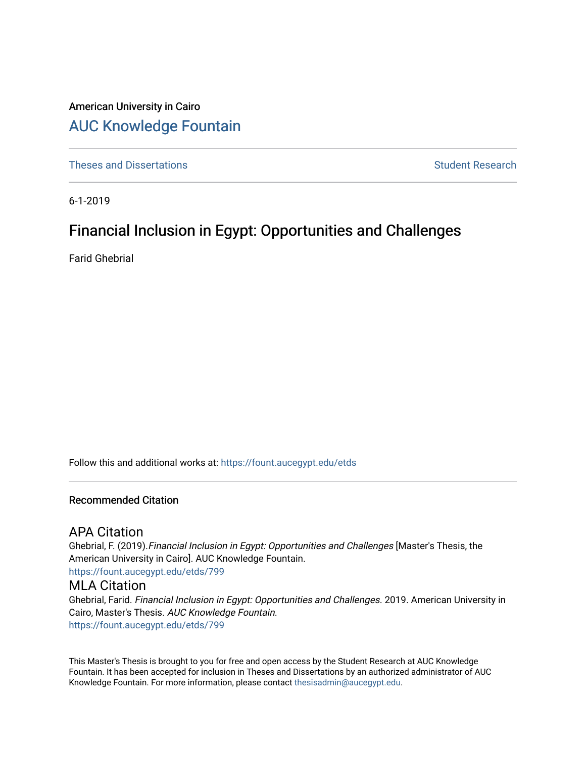# American University in Cairo [AUC Knowledge Fountain](https://fount.aucegypt.edu/)

[Theses and Dissertations](https://fount.aucegypt.edu/etds) Student Research

6-1-2019

# Financial Inclusion in Egypt: Opportunities and Challenges

Farid Ghebrial

Follow this and additional works at: [https://fount.aucegypt.edu/etds](https://fount.aucegypt.edu/etds?utm_source=fount.aucegypt.edu%2Fetds%2F799&utm_medium=PDF&utm_campaign=PDFCoverPages) 

#### Recommended Citation

## APA Citation

Ghebrial, F. (2019).Financial Inclusion in Egypt: Opportunities and Challenges [Master's Thesis, the American University in Cairo]. AUC Knowledge Fountain. [https://fount.aucegypt.edu/etds/799](https://fount.aucegypt.edu/etds/799?utm_source=fount.aucegypt.edu%2Fetds%2F799&utm_medium=PDF&utm_campaign=PDFCoverPages) 

### MLA Citation

Ghebrial, Farid. Financial Inclusion in Egypt: Opportunities and Challenges. 2019. American University in Cairo, Master's Thesis. AUC Knowledge Fountain. [https://fount.aucegypt.edu/etds/799](https://fount.aucegypt.edu/etds/799?utm_source=fount.aucegypt.edu%2Fetds%2F799&utm_medium=PDF&utm_campaign=PDFCoverPages) 

This Master's Thesis is brought to you for free and open access by the Student Research at AUC Knowledge Fountain. It has been accepted for inclusion in Theses and Dissertations by an authorized administrator of AUC Knowledge Fountain. For more information, please contact [thesisadmin@aucegypt.edu.](mailto:thesisadmin@aucegypt.edu)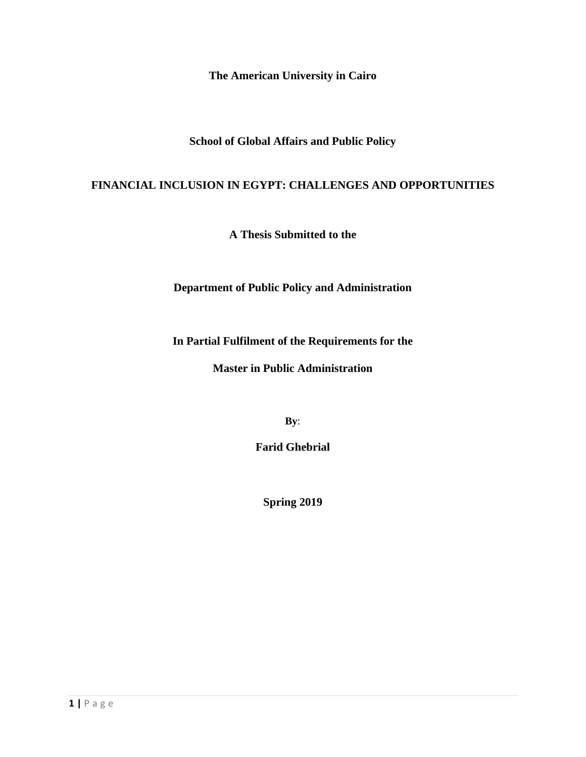**The American University in Cairo**

**School of Global Affairs and Public Policy**

### **FINANCIAL INCLUSION IN EGYPT: CHALLENGES AND OPPORTUNITIES**

**A Thesis Submitted to the** 

**Department of Public Policy and Administration**

**In Partial Fulfilment of the Requirements for the**

**Master in Public Administration**

**By**:

**Farid Ghebrial**

**Spring 2019**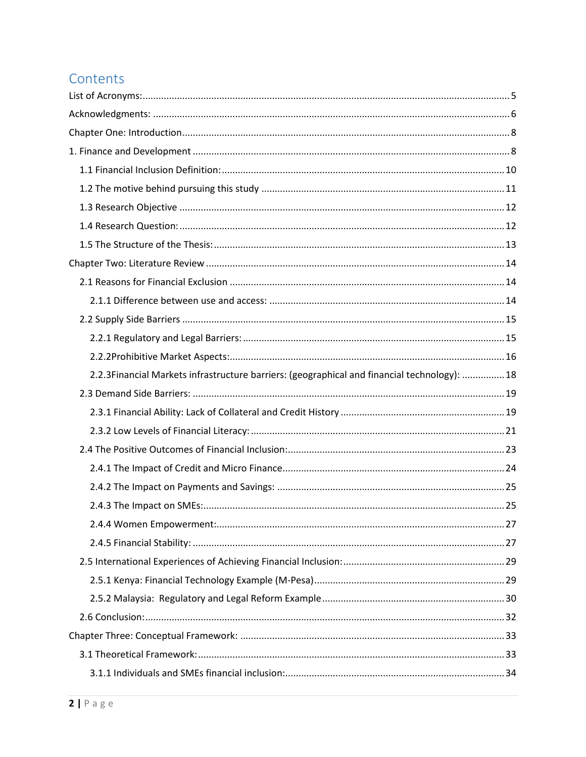# Contents

| 2.2.3Financial Markets infrastructure barriers: (geographical and financial technology):  18 |  |
|----------------------------------------------------------------------------------------------|--|
|                                                                                              |  |
|                                                                                              |  |
|                                                                                              |  |
|                                                                                              |  |
|                                                                                              |  |
|                                                                                              |  |
|                                                                                              |  |
|                                                                                              |  |
|                                                                                              |  |
|                                                                                              |  |
|                                                                                              |  |
|                                                                                              |  |
|                                                                                              |  |
|                                                                                              |  |
|                                                                                              |  |
|                                                                                              |  |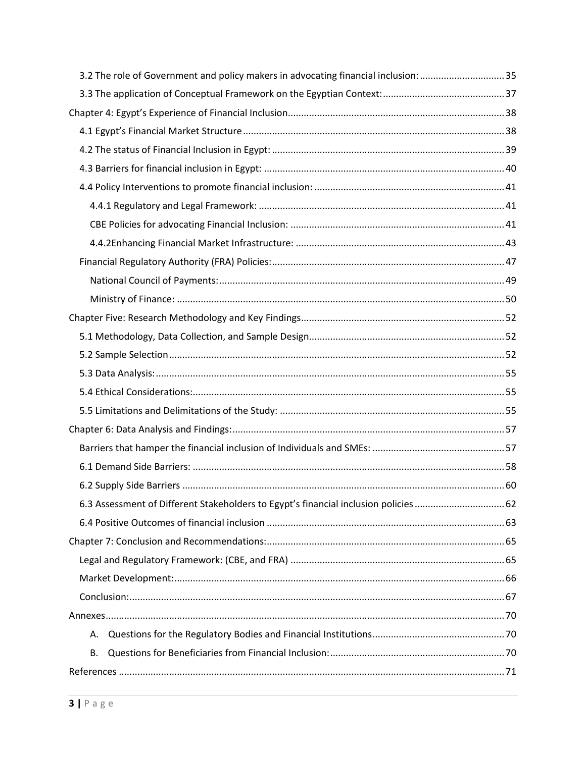| 3.5. The role of Government and policy makers in advocating financial inclusion: 35  |  |
|--------------------------------------------------------------------------------------|--|
|                                                                                      |  |
|                                                                                      |  |
|                                                                                      |  |
|                                                                                      |  |
|                                                                                      |  |
|                                                                                      |  |
|                                                                                      |  |
|                                                                                      |  |
|                                                                                      |  |
|                                                                                      |  |
|                                                                                      |  |
|                                                                                      |  |
|                                                                                      |  |
|                                                                                      |  |
|                                                                                      |  |
|                                                                                      |  |
|                                                                                      |  |
|                                                                                      |  |
|                                                                                      |  |
|                                                                                      |  |
|                                                                                      |  |
|                                                                                      |  |
| 6.3 Assessment of Different Stakeholders to Egypt's financial inclusion policies  62 |  |
|                                                                                      |  |
|                                                                                      |  |
|                                                                                      |  |
|                                                                                      |  |
|                                                                                      |  |
|                                                                                      |  |
| А.                                                                                   |  |
| В.                                                                                   |  |
|                                                                                      |  |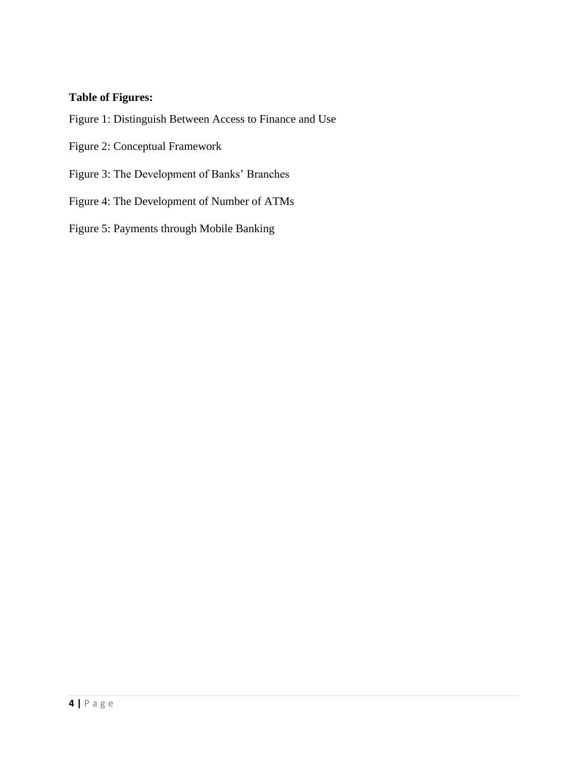## **Table of Figures:**

Figure 1: Distinguish Between Access to Finance and Use

Figure 2: Conceptual Framework

Figure 3: The Development of Banks' Branches

Figure 4: The Development of Number of ATMs

Figure 5: Payments through Mobile Banking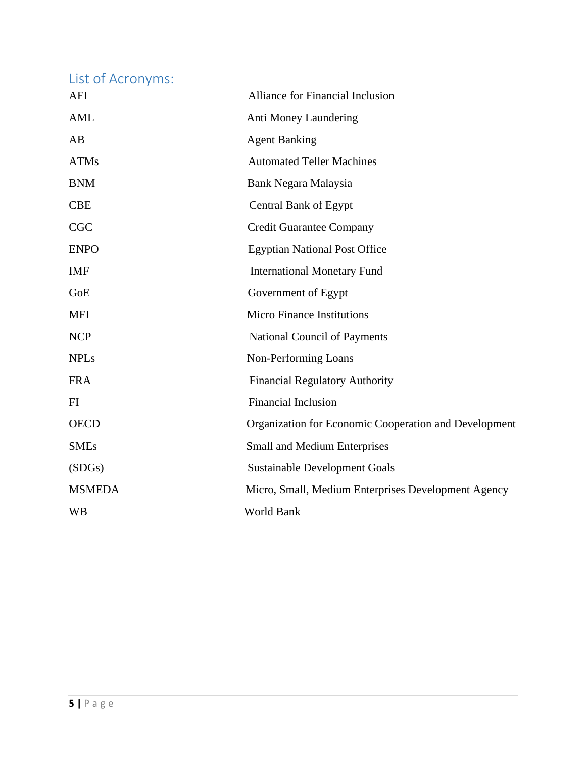<span id="page-5-0"></span>List of Acronyms:

| AFI           | Alliance for Financial Inclusion                      |
|---------------|-------------------------------------------------------|
| <b>AML</b>    | Anti Money Laundering                                 |
| AB            | <b>Agent Banking</b>                                  |
| <b>ATMs</b>   | <b>Automated Teller Machines</b>                      |
| <b>BNM</b>    | Bank Negara Malaysia                                  |
| <b>CBE</b>    | <b>Central Bank of Egypt</b>                          |
| CGC           | <b>Credit Guarantee Company</b>                       |
| <b>ENPO</b>   | <b>Egyptian National Post Office</b>                  |
| <b>IMF</b>    | <b>International Monetary Fund</b>                    |
| GoE           | Government of Egypt                                   |
| <b>MFI</b>    | <b>Micro Finance Institutions</b>                     |
| <b>NCP</b>    | National Council of Payments                          |
| <b>NPLs</b>   | Non-Performing Loans                                  |
| <b>FRA</b>    | <b>Financial Regulatory Authority</b>                 |
| FI            | <b>Financial Inclusion</b>                            |
| <b>OECD</b>   | Organization for Economic Cooperation and Development |
| <b>SMEs</b>   | <b>Small and Medium Enterprises</b>                   |
| (SDGs)        | <b>Sustainable Development Goals</b>                  |
| <b>MSMEDA</b> | Micro, Small, Medium Enterprises Development Agency   |
| <b>WB</b>     | World Bank                                            |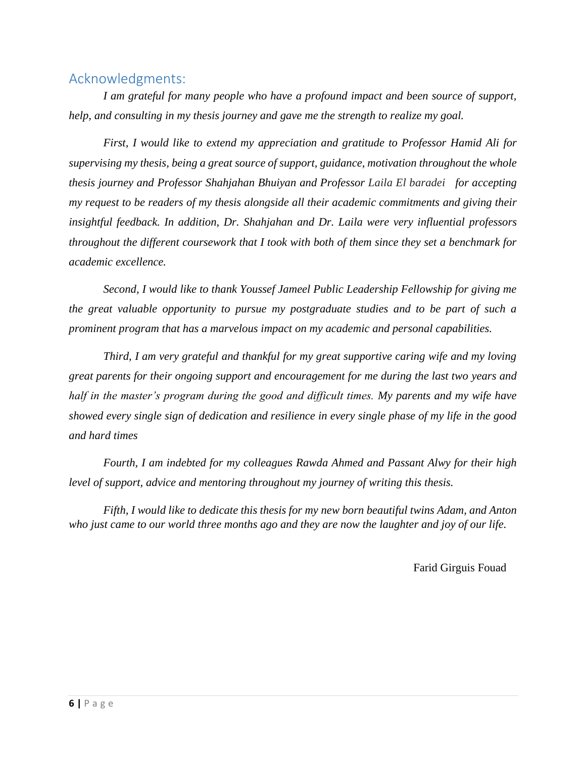## <span id="page-6-0"></span>Acknowledgments:

*I am grateful for many people who have a profound impact and been source of support, help, and consulting in my thesis journey and gave me the strength to realize my goal.* 

*First, I would like to extend my appreciation and gratitude to Professor Hamid Ali for supervising my thesis, being a great source of support, guidance, motivation throughout the whole thesis journey and Professor Shahjahan Bhuiyan and Professor Laila El baradei for accepting my request to be readers of my thesis alongside all their academic commitments and giving their insightful feedback. In addition, Dr. Shahjahan and Dr. Laila were very influential professors throughout the different coursework that I took with both of them since they set a benchmark for academic excellence.*

*Second, I would like to thank Youssef Jameel Public Leadership Fellowship for giving me the great valuable opportunity to pursue my postgraduate studies and to be part of such a prominent program that has a marvelous impact on my academic and personal capabilities.*

*Third, I am very grateful and thankful for my great supportive caring wife and my loving great parents for their ongoing support and encouragement for me during the last two years and half in the master's program during the good and difficult times. My parents and my wife have showed every single sign of dedication and resilience in every single phase of my life in the good and hard times* 

*Fourth, I am indebted for my colleagues Rawda Ahmed and Passant Alwy for their high level of support, advice and mentoring throughout my journey of writing this thesis.*

*Fifth, I would like to dedicate this thesis for my new born beautiful twins Adam, and Anton who just came to our world three months ago and they are now the laughter and joy of our life.*

Farid Girguis Fouad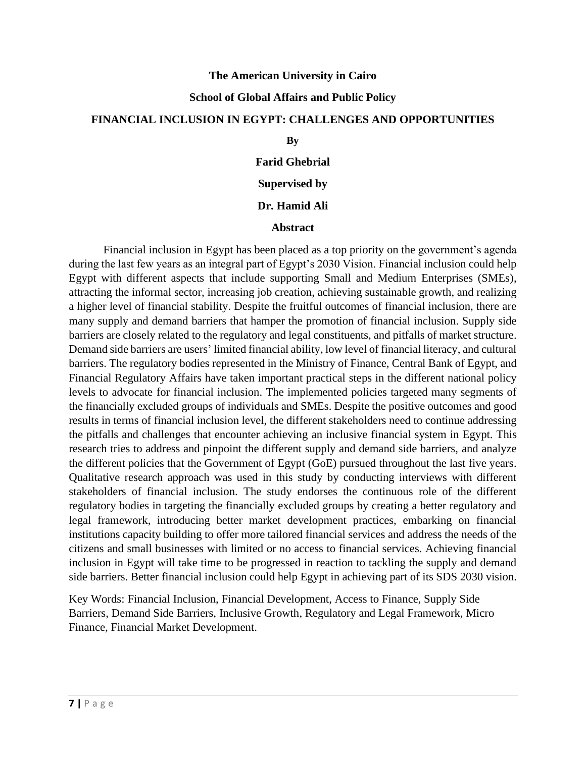#### **The American University in Cairo**

#### **School of Global Affairs and Public Policy**

#### **FINANCIAL INCLUSION IN EGYPT: CHALLENGES AND OPPORTUNITIES**

#### **By**

**Farid Ghebrial**

### **Supervised by**

#### **Dr. Hamid Ali**

#### **Abstract**

Financial inclusion in Egypt has been placed as a top priority on the government's agenda during the last few years as an integral part of Egypt's 2030 Vision. Financial inclusion could help Egypt with different aspects that include supporting Small and Medium Enterprises (SMEs), attracting the informal sector, increasing job creation, achieving sustainable growth, and realizing a higher level of financial stability. Despite the fruitful outcomes of financial inclusion, there are many supply and demand barriers that hamper the promotion of financial inclusion. Supply side barriers are closely related to the regulatory and legal constituents, and pitfalls of market structure. Demand side barriers are users' limited financial ability, low level of financial literacy, and cultural barriers. The regulatory bodies represented in the Ministry of Finance, Central Bank of Egypt, and Financial Regulatory Affairs have taken important practical steps in the different national policy levels to advocate for financial inclusion. The implemented policies targeted many segments of the financially excluded groups of individuals and SMEs. Despite the positive outcomes and good results in terms of financial inclusion level, the different stakeholders need to continue addressing the pitfalls and challenges that encounter achieving an inclusive financial system in Egypt. This research tries to address and pinpoint the different supply and demand side barriers, and analyze the different policies that the Government of Egypt (GoE) pursued throughout the last five years. Qualitative research approach was used in this study by conducting interviews with different stakeholders of financial inclusion. The study endorses the continuous role of the different regulatory bodies in targeting the financially excluded groups by creating a better regulatory and legal framework, introducing better market development practices, embarking on financial institutions capacity building to offer more tailored financial services and address the needs of the citizens and small businesses with limited or no access to financial services. Achieving financial inclusion in Egypt will take time to be progressed in reaction to tackling the supply and demand side barriers. Better financial inclusion could help Egypt in achieving part of its SDS 2030 vision.

Key Words: Financial Inclusion, Financial Development, Access to Finance, Supply Side Barriers, Demand Side Barriers, Inclusive Growth, Regulatory and Legal Framework, Micro Finance, Financial Market Development.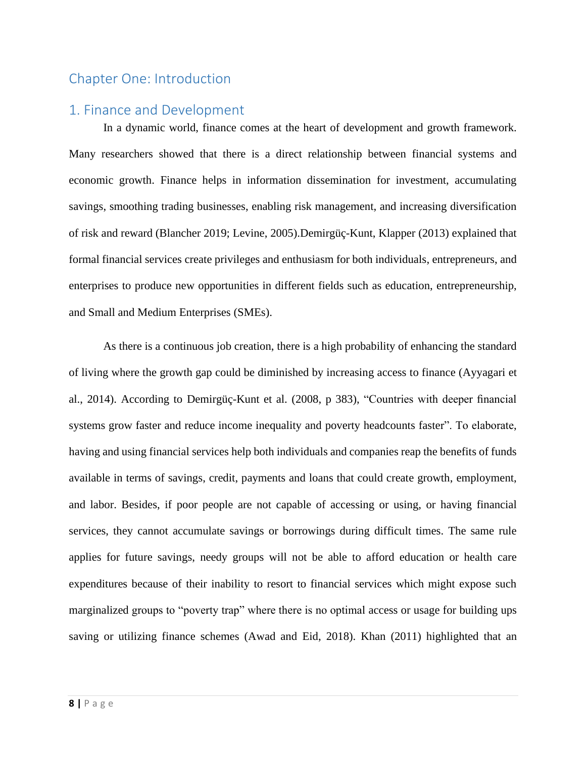## <span id="page-8-0"></span>Chapter One: Introduction

### <span id="page-8-1"></span>1. Finance and Development

In a dynamic world, finance comes at the heart of development and growth framework. Many researchers showed that there is a direct relationship between financial systems and economic growth. Finance helps in information dissemination for investment, accumulating savings, smoothing trading businesses, enabling risk management, and increasing diversification of risk and reward (Blancher 2019; Levine, 2005).Demirgüç-Kunt, Klapper (2013) explained that formal financial services create privileges and enthusiasm for both individuals, entrepreneurs, and enterprises to produce new opportunities in different fields such as education, entrepreneurship, and Small and Medium Enterprises (SMEs).

As there is a continuous job creation, there is a high probability of enhancing the standard of living where the growth gap could be diminished by increasing access to finance (Ayyagari et al., 2014). According to Demirgüç-Kunt et al. (2008, p 383), "Countries with deeper financial systems grow faster and reduce income inequality and poverty headcounts faster". To elaborate, having and using financial services help both individuals and companies reap the benefits of funds available in terms of savings, credit, payments and loans that could create growth, employment, and labor. Besides, if poor people are not capable of accessing or using, or having financial services, they cannot accumulate savings or borrowings during difficult times. The same rule applies for future savings, needy groups will not be able to afford education or health care expenditures because of their inability to resort to financial services which might expose such marginalized groups to "poverty trap" where there is no optimal access or usage for building ups saving or utilizing finance schemes (Awad and Eid, 2018). Khan (2011) highlighted that an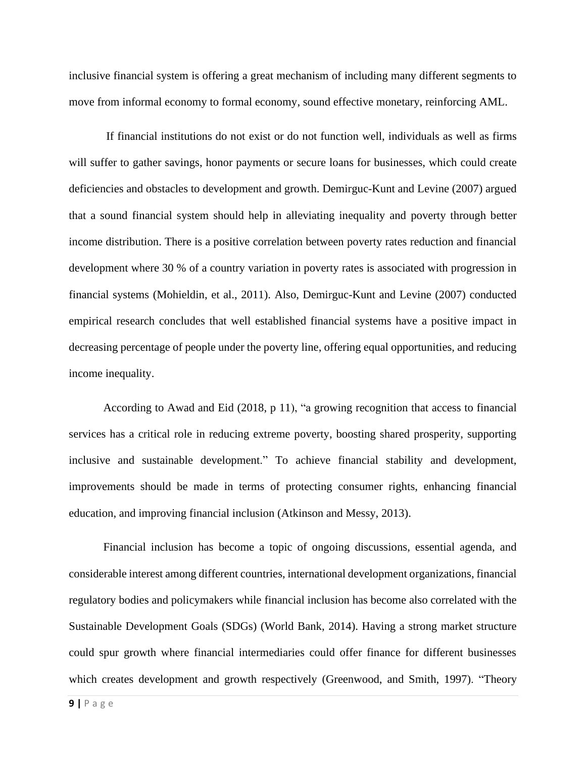inclusive financial system is offering a great mechanism of including many different segments to move from informal economy to formal economy, sound effective monetary, reinforcing AML.

If financial institutions do not exist or do not function well, individuals as well as firms will suffer to gather savings, honor payments or secure loans for businesses, which could create deficiencies and obstacles to development and growth. Demirguc-Kunt and Levine (2007) argued that a sound financial system should help in alleviating inequality and poverty through better income distribution. There is a positive correlation between poverty rates reduction and financial development where 30 % of a country variation in poverty rates is associated with progression in financial systems (Mohieldin, et al., 2011). Also, Demirguc-Kunt and Levine (2007) conducted empirical research concludes that well established financial systems have a positive impact in decreasing percentage of people under the poverty line, offering equal opportunities, and reducing income inequality.

According to Awad and Eid (2018, p 11), "a growing recognition that access to financial services has a critical role in reducing extreme poverty, boosting shared prosperity, supporting inclusive and sustainable development." To achieve financial stability and development, improvements should be made in terms of protecting consumer rights, enhancing financial education, and improving financial inclusion (Atkinson and Messy, 2013).

Financial inclusion has become a topic of ongoing discussions, essential agenda, and considerable interest among different countries, international development organizations, financial regulatory bodies and policymakers while financial inclusion has become also correlated with the Sustainable Development Goals (SDGs) (World Bank, 2014). Having a strong market structure could spur growth where financial intermediaries could offer finance for different businesses which creates development and growth respectively (Greenwood, and Smith, 1997). "Theory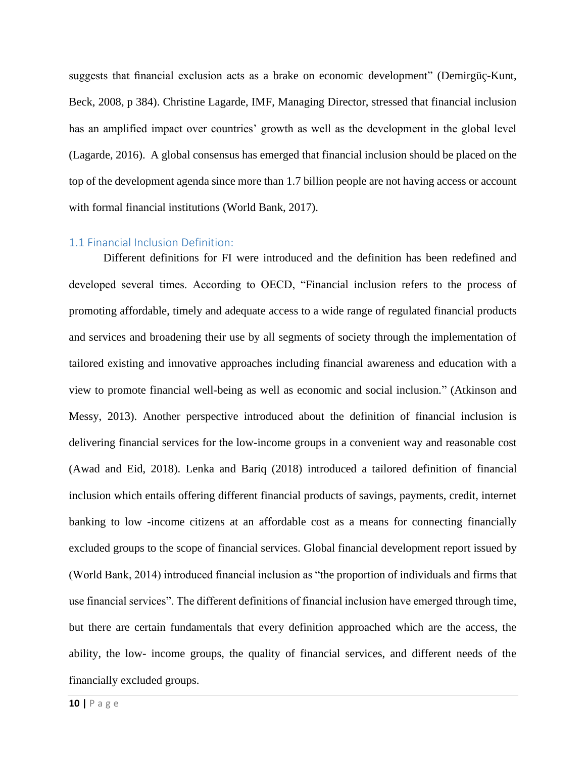suggests that financial exclusion acts as a brake on economic development" (Demirgüç-Kunt, Beck, 2008, p 384). Christine Lagarde, IMF, Managing Director, stressed that financial inclusion has an amplified impact over countries' growth as well as the development in the global level (Lagarde, 2016). A global consensus has emerged that financial inclusion should be placed on the top of the development agenda since more than 1.7 billion people are not having access or account with formal financial institutions (World Bank, 2017).

#### <span id="page-10-0"></span>1.1 Financial Inclusion Definition:

Different definitions for FI were introduced and the definition has been redefined and developed several times. According to OECD, "Financial inclusion refers to the process of promoting affordable, timely and adequate access to a wide range of regulated financial products and services and broadening their use by all segments of society through the implementation of tailored existing and innovative approaches including financial awareness and education with a view to promote financial well-being as well as economic and social inclusion." (Atkinson and Messy, 2013). Another perspective introduced about the definition of financial inclusion is delivering financial services for the low-income groups in a convenient way and reasonable cost (Awad and Eid, 2018). Lenka and Bariq (2018) introduced a tailored definition of financial inclusion which entails offering different financial products of savings, payments, credit, internet banking to low -income citizens at an affordable cost as a means for connecting financially excluded groups to the scope of financial services. Global financial development report issued by (World Bank, 2014) introduced financial inclusion as "the proportion of individuals and firms that use financial services". The different definitions of financial inclusion have emerged through time, but there are certain fundamentals that every definition approached which are the access, the ability, the low- income groups, the quality of financial services, and different needs of the financially excluded groups.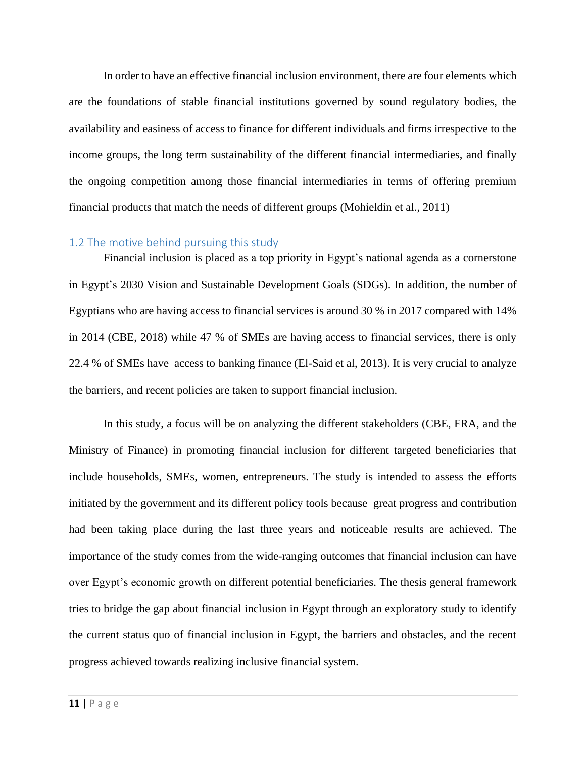In order to have an effective financial inclusion environment, there are four elements which are the foundations of stable financial institutions governed by sound regulatory bodies, the availability and easiness of access to finance for different individuals and firms irrespective to the income groups, the long term sustainability of the different financial intermediaries, and finally the ongoing competition among those financial intermediaries in terms of offering premium financial products that match the needs of different groups (Mohieldin et al., 2011)

#### <span id="page-11-0"></span>1.2 The motive behind pursuing this study

Financial inclusion is placed as a top priority in Egypt's national agenda as a cornerstone in Egypt's 2030 Vision and Sustainable Development Goals (SDGs). In addition, the number of Egyptians who are having access to financial services is around 30 % in 2017 compared with 14% in 2014 (CBE, 2018) while 47 % of SMEs are having access to financial services, there is only 22.4 % of SMEs have access to banking finance (El-Said et al, 2013). It is very crucial to analyze the barriers, and recent policies are taken to support financial inclusion.

In this study, a focus will be on analyzing the different stakeholders (CBE, FRA, and the Ministry of Finance) in promoting financial inclusion for different targeted beneficiaries that include households, SMEs, women, entrepreneurs. The study is intended to assess the efforts initiated by the government and its different policy tools because great progress and contribution had been taking place during the last three years and noticeable results are achieved. The importance of the study comes from the wide-ranging outcomes that financial inclusion can have over Egypt's economic growth on different potential beneficiaries. The thesis general framework tries to bridge the gap about financial inclusion in Egypt through an exploratory study to identify the current status quo of financial inclusion in Egypt, the barriers and obstacles, and the recent progress achieved towards realizing inclusive financial system.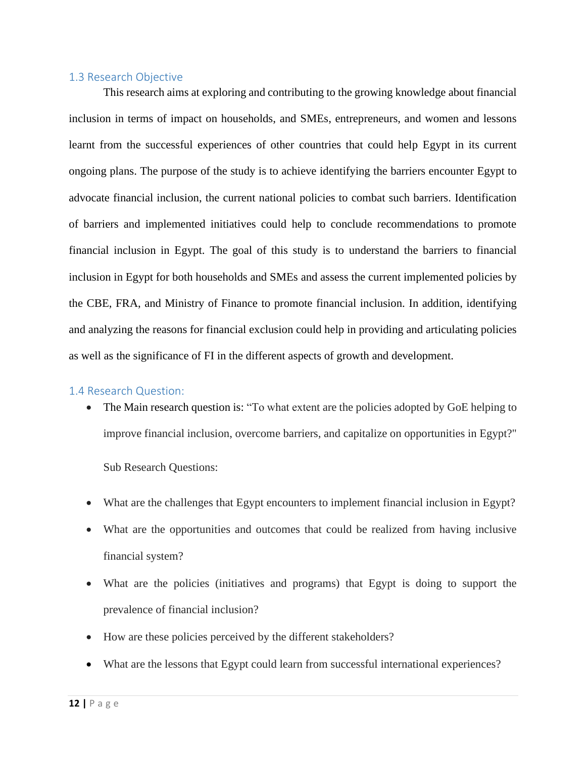#### <span id="page-12-0"></span>1.3 Research Objective

This research aims at exploring and contributing to the growing knowledge about financial inclusion in terms of impact on households, and SMEs, entrepreneurs, and women and lessons learnt from the successful experiences of other countries that could help Egypt in its current ongoing plans. The purpose of the study is to achieve identifying the barriers encounter Egypt to advocate financial inclusion, the current national policies to combat such barriers. Identification of barriers and implemented initiatives could help to conclude recommendations to promote financial inclusion in Egypt. The goal of this study is to understand the barriers to financial inclusion in Egypt for both households and SMEs and assess the current implemented policies by the CBE, FRA, and Ministry of Finance to promote financial inclusion. In addition, identifying and analyzing the reasons for financial exclusion could help in providing and articulating policies as well as the significance of FI in the different aspects of growth and development.

#### <span id="page-12-1"></span>1.4 Research Question:

• The Main research question is: "To what extent are the policies adopted by GoE helping to improve financial inclusion, overcome barriers, and capitalize on opportunities in Egypt?"

Sub Research Questions:

- What are the challenges that Egypt encounters to implement financial inclusion in Egypt?
- What are the opportunities and outcomes that could be realized from having inclusive financial system?
- What are the policies (initiatives and programs) that Egypt is doing to support the prevalence of financial inclusion?
- How are these policies perceived by the different stakeholders?
- What are the lessons that Egypt could learn from successful international experiences?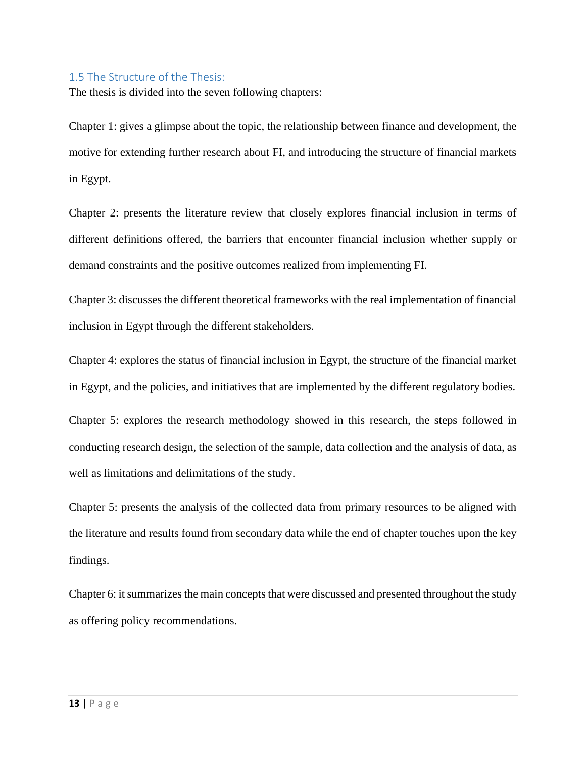#### <span id="page-13-0"></span>1.5 The Structure of the Thesis:

The thesis is divided into the seven following chapters:

Chapter 1: gives a glimpse about the topic, the relationship between finance and development, the motive for extending further research about FI, and introducing the structure of financial markets in Egypt.

Chapter 2: presents the literature review that closely explores financial inclusion in terms of different definitions offered, the barriers that encounter financial inclusion whether supply or demand constraints and the positive outcomes realized from implementing FI.

Chapter 3: discusses the different theoretical frameworks with the real implementation of financial inclusion in Egypt through the different stakeholders.

Chapter 4: explores the status of financial inclusion in Egypt, the structure of the financial market in Egypt, and the policies, and initiatives that are implemented by the different regulatory bodies.

Chapter 5: explores the research methodology showed in this research, the steps followed in conducting research design, the selection of the sample, data collection and the analysis of data, as well as limitations and delimitations of the study.

Chapter 5: presents the analysis of the collected data from primary resources to be aligned with the literature and results found from secondary data while the end of chapter touches upon the key findings.

Chapter 6: it summarizes the main concepts that were discussed and presented throughout the study as offering policy recommendations.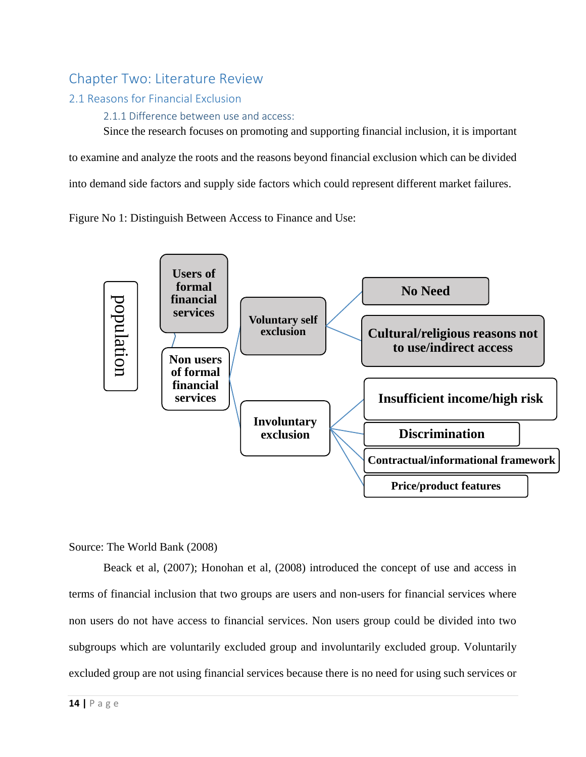## <span id="page-14-0"></span>Chapter Two: Literature Review

## <span id="page-14-1"></span>2.1 Reasons for Financial Exclusion

<span id="page-14-2"></span>2.1.1 Difference between use and access:

Since the research focuses on promoting and supporting financial inclusion, it is important

to examine and analyze the roots and the reasons beyond financial exclusion which can be divided

into demand side factors and supply side factors which could represent different market failures.

Figure No 1: Distinguish Between Access to Finance and Use:



#### Source: The World Bank (2008)

Beack et al, (2007); Honohan et al, (2008) introduced the concept of use and access in terms of financial inclusion that two groups are users and non-users for financial services where non users do not have access to financial services. Non users group could be divided into two subgroups which are voluntarily excluded group and involuntarily excluded group. Voluntarily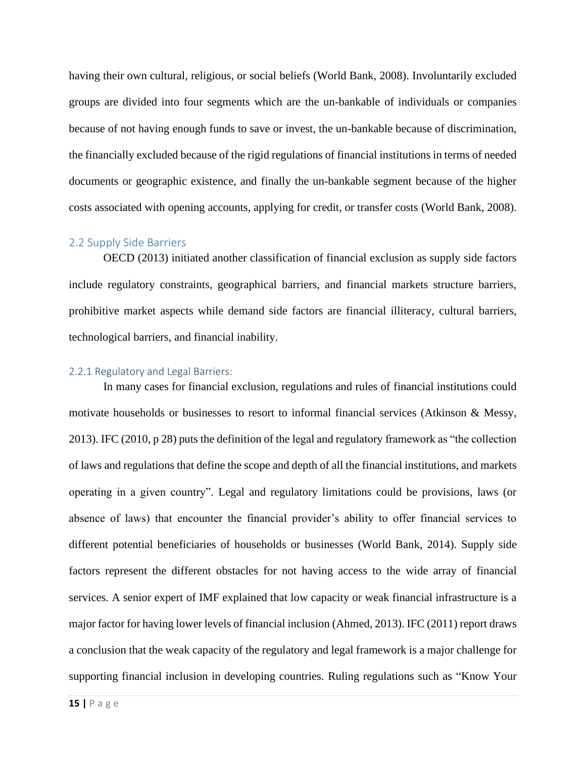having their own cultural, religious, or social beliefs (World Bank, 2008). Involuntarily excluded groups are divided into four segments which are the un-bankable of individuals or companies because of not having enough funds to save or invest, the un-bankable because of discrimination, the financially excluded because of the rigid regulations of financial institutions in terms of needed documents or geographic existence, and finally the un-bankable segment because of the higher costs associated with opening accounts, applying for credit, or transfer costs (World Bank, 2008).

#### <span id="page-15-0"></span>2.2 Supply Side Barriers

OECD (2013) initiated another classification of financial exclusion as supply side factors include regulatory constraints, geographical barriers, and financial markets structure barriers, prohibitive market aspects while demand side factors are financial illiteracy, cultural barriers, technological barriers, and financial inability.

#### <span id="page-15-1"></span>2.2.1 Regulatory and Legal Barriers:

In many cases for financial exclusion, regulations and rules of financial institutions could motivate households or businesses to resort to informal financial services (Atkinson & Messy, 2013). IFC (2010, p 28) puts the definition of the legal and regulatory framework as "the collection of laws and regulations that define the scope and depth of all the financial institutions, and markets operating in a given country". Legal and regulatory limitations could be provisions, laws (or absence of laws) that encounter the financial provider's ability to offer financial services to different potential beneficiaries of households or businesses (World Bank, 2014). Supply side factors represent the different obstacles for not having access to the wide array of financial services. A senior expert of IMF explained that low capacity or weak financial infrastructure is a major factor for having lower levels of financial inclusion (Ahmed, 2013). IFC (2011) report draws a conclusion that the weak capacity of the regulatory and legal framework is a major challenge for supporting financial inclusion in developing countries. Ruling regulations such as "Know Your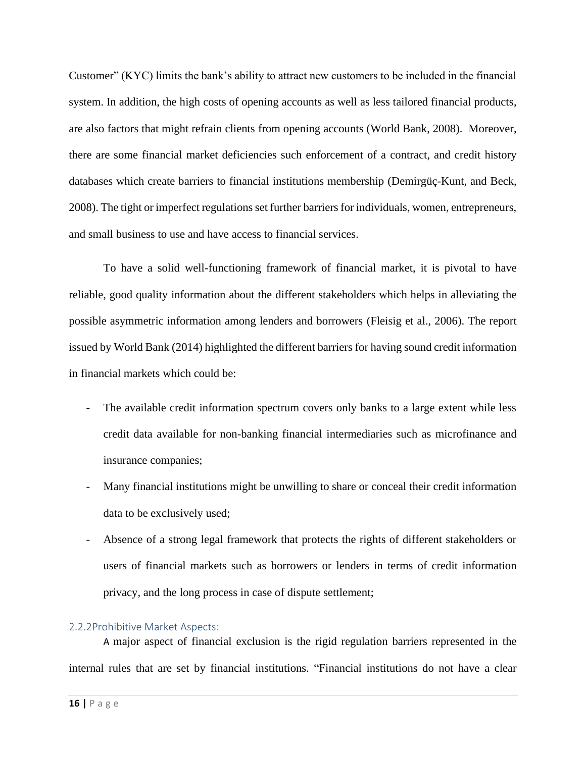Customer" (KYC) limits the bank's ability to attract new customers to be included in the financial system. In addition, the high costs of opening accounts as well as less tailored financial products, are also factors that might refrain clients from opening accounts (World Bank, 2008). Moreover, there are some financial market deficiencies such enforcement of a contract, and credit history databases which create barriers to financial institutions membership (Demirgüç-Kunt, and Beck, 2008). The tight or imperfect regulations set further barriers for individuals, women, entrepreneurs, and small business to use and have access to financial services.

To have a solid well-functioning framework of financial market, it is pivotal to have reliable, good quality information about the different stakeholders which helps in alleviating the possible asymmetric information among lenders and borrowers (Fleisig et al., 2006). The report issued by World Bank (2014) highlighted the different barriers for having sound credit information in financial markets which could be:

- The available credit information spectrum covers only banks to a large extent while less credit data available for non-banking financial intermediaries such as microfinance and insurance companies;
- Many financial institutions might be unwilling to share or conceal their credit information data to be exclusively used;
- Absence of a strong legal framework that protects the rights of different stakeholders or users of financial markets such as borrowers or lenders in terms of credit information privacy, and the long process in case of dispute settlement;

#### <span id="page-16-0"></span>2.2.2Prohibitive Market Aspects:

A major aspect of financial exclusion is the rigid regulation barriers represented in the internal rules that are set by financial institutions. "Financial institutions do not have a clear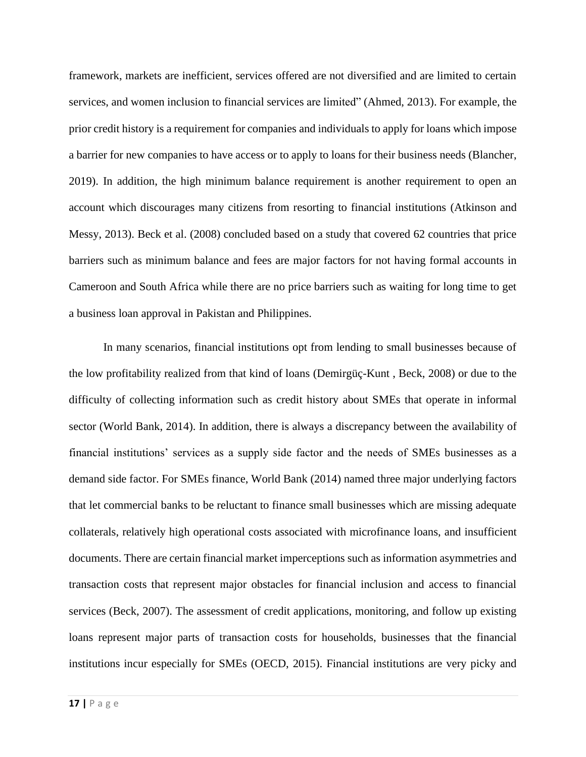framework, markets are inefficient, services offered are not diversified and are limited to certain services, and women inclusion to financial services are limited" (Ahmed, 2013). For example, the prior credit history is a requirement for companies and individuals to apply for loans which impose a barrier for new companies to have access or to apply to loans for their business needs (Blancher, 2019). In addition, the high minimum balance requirement is another requirement to open an account which discourages many citizens from resorting to financial institutions (Atkinson and Messy, 2013). Beck et al. (2008) concluded based on a study that covered 62 countries that price barriers such as minimum balance and fees are major factors for not having formal accounts in Cameroon and South Africa while there are no price barriers such as waiting for long time to get a business loan approval in Pakistan and Philippines.

In many scenarios, financial institutions opt from lending to small businesses because of the low profitability realized from that kind of loans (Demirgüç-Kunt , Beck, 2008) or due to the difficulty of collecting information such as credit history about SMEs that operate in informal sector (World Bank, 2014). In addition, there is always a discrepancy between the availability of financial institutions' services as a supply side factor and the needs of SMEs businesses as a demand side factor. For SMEs finance, World Bank (2014) named three major underlying factors that let commercial banks to be reluctant to finance small businesses which are missing adequate collaterals, relatively high operational costs associated with microfinance loans, and insufficient documents. There are certain financial market imperceptions such as information asymmetries and transaction costs that represent major obstacles for financial inclusion and access to financial services (Beck, 2007). The assessment of credit applications, monitoring, and follow up existing loans represent major parts of transaction costs for households, businesses that the financial institutions incur especially for SMEs (OECD, 2015). Financial institutions are very picky and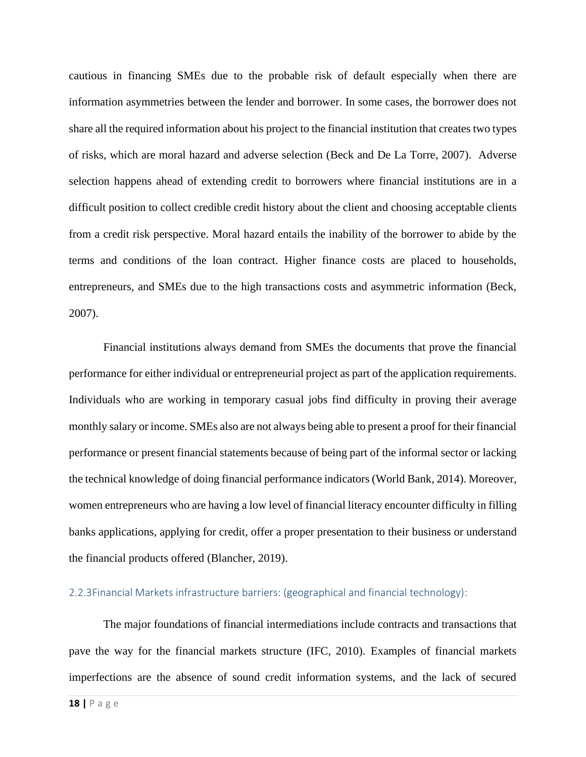cautious in financing SMEs due to the probable risk of default especially when there are information asymmetries between the lender and borrower. In some cases, the borrower does not share all the required information about his project to the financial institution that creates two types of risks, which are moral hazard and adverse selection (Beck and De La Torre, 2007). Adverse selection happens ahead of extending credit to borrowers where financial institutions are in a difficult position to collect credible credit history about the client and choosing acceptable clients from a credit risk perspective. Moral hazard entails the inability of the borrower to abide by the terms and conditions of the loan contract. Higher finance costs are placed to households, entrepreneurs, and SMEs due to the high transactions costs and asymmetric information (Beck, 2007).

Financial institutions always demand from SMEs the documents that prove the financial performance for either individual or entrepreneurial project as part of the application requirements. Individuals who are working in temporary casual jobs find difficulty in proving their average monthly salary or income. SMEs also are not always being able to present a proof for their financial performance or present financial statements because of being part of the informal sector or lacking the technical knowledge of doing financial performance indicators (World Bank, 2014). Moreover, women entrepreneurs who are having a low level of financial literacy encounter difficulty in filling banks applications, applying for credit, offer a proper presentation to their business or understand the financial products offered (Blancher, 2019).

#### <span id="page-18-0"></span>2.2.3Financial Markets infrastructure barriers: (geographical and financial technology):

The major foundations of financial intermediations include contracts and transactions that pave the way for the financial markets structure (IFC, 2010). Examples of financial markets imperfections are the absence of sound credit information systems, and the lack of secured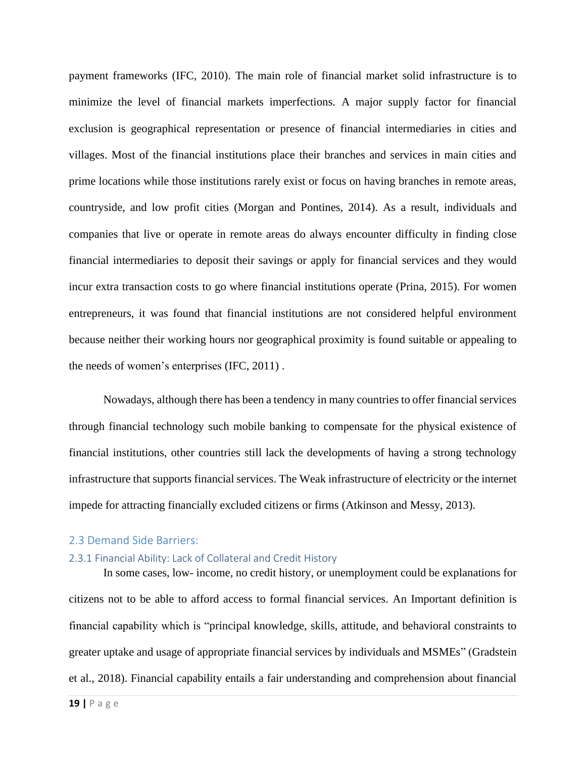payment frameworks (IFC, 2010). The main role of financial market solid infrastructure is to minimize the level of financial markets imperfections. A major supply factor for financial exclusion is geographical representation or presence of financial intermediaries in cities and villages. Most of the financial institutions place their branches and services in main cities and prime locations while those institutions rarely exist or focus on having branches in remote areas, countryside, and low profit cities (Morgan and Pontines, 2014). As a result, individuals and companies that live or operate in remote areas do always encounter difficulty in finding close financial intermediaries to deposit their savings or apply for financial services and they would incur extra transaction costs to go where financial institutions operate (Prina, 2015). For women entrepreneurs, it was found that financial institutions are not considered helpful environment because neither their working hours nor geographical proximity is found suitable or appealing to the needs of women's enterprises (IFC, 2011) .

Nowadays, although there has been a tendency in many countries to offer financial services through financial technology such mobile banking to compensate for the physical existence of financial institutions, other countries still lack the developments of having a strong technology infrastructure that supports financial services. The Weak infrastructure of electricity or the internet impede for attracting financially excluded citizens or firms (Atkinson and Messy, 2013).

#### <span id="page-19-0"></span>2.3 Demand Side Barriers:

#### <span id="page-19-1"></span>2.3.1 Financial Ability: Lack of Collateral and Credit History

In some cases, low- income, no credit history, or unemployment could be explanations for citizens not to be able to afford access to formal financial services. An Important definition is financial capability which is "principal knowledge, skills, attitude, and behavioral constraints to greater uptake and usage of appropriate financial services by individuals and MSMEs" (Gradstein et al., 2018). Financial capability entails a fair understanding and comprehension about financial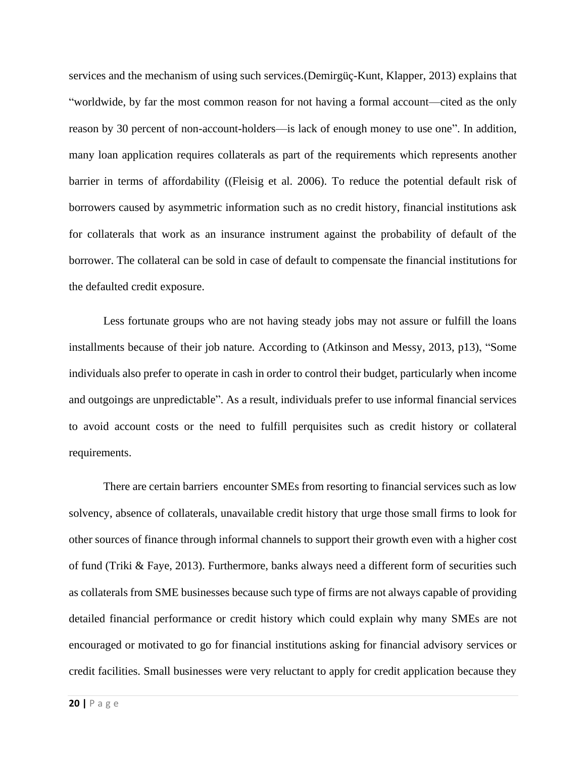services and the mechanism of using such services.(Demirgüç-Kunt, Klapper, 2013) explains that "worldwide, by far the most common reason for not having a formal account—cited as the only reason by 30 percent of non-account-holders—is lack of enough money to use one". In addition, many loan application requires collaterals as part of the requirements which represents another barrier in terms of affordability ((Fleisig et al. 2006). To reduce the potential default risk of borrowers caused by asymmetric information such as no credit history, financial institutions ask for collaterals that work as an insurance instrument against the probability of default of the borrower. The collateral can be sold in case of default to compensate the financial institutions for the defaulted credit exposure.

Less fortunate groups who are not having steady jobs may not assure or fulfill the loans installments because of their job nature. According to (Atkinson and Messy, 2013, p13), "Some individuals also prefer to operate in cash in order to control their budget, particularly when income and outgoings are unpredictable". As a result, individuals prefer to use informal financial services to avoid account costs or the need to fulfill perquisites such as credit history or collateral requirements.

There are certain barriers encounter SMEs from resorting to financial services such as low solvency, absence of collaterals, unavailable credit history that urge those small firms to look for other sources of finance through informal channels to support their growth even with a higher cost of fund (Triki & Faye, 2013). Furthermore, banks always need a different form of securities such as collaterals from SME businesses because such type of firms are not always capable of providing detailed financial performance or credit history which could explain why many SMEs are not encouraged or motivated to go for financial institutions asking for financial advisory services or credit facilities. Small businesses were very reluctant to apply for credit application because they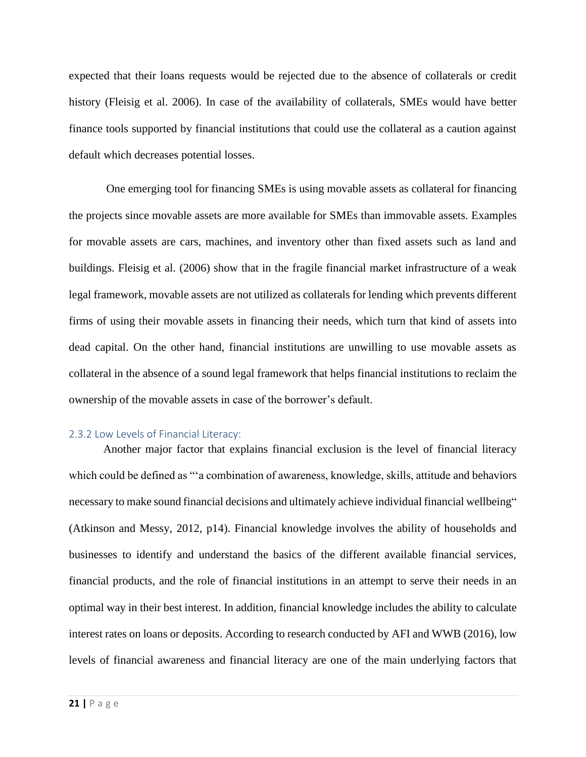expected that their loans requests would be rejected due to the absence of collaterals or credit history (Fleisig et al. 2006). In case of the availability of collaterals, SMEs would have better finance tools supported by financial institutions that could use the collateral as a caution against default which decreases potential losses.

One emerging tool for financing SMEs is using movable assets as collateral for financing the projects since movable assets are more available for SMEs than immovable assets. Examples for movable assets are cars, machines, and inventory other than fixed assets such as land and buildings. Fleisig et al. (2006) show that in the fragile financial market infrastructure of a weak legal framework, movable assets are not utilized as collaterals for lending which prevents different firms of using their movable assets in financing their needs, which turn that kind of assets into dead capital. On the other hand, financial institutions are unwilling to use movable assets as collateral in the absence of a sound legal framework that helps financial institutions to reclaim the ownership of the movable assets in case of the borrower's default.

#### <span id="page-21-0"></span>2.3.2 Low Levels of Financial Literacy:

Another major factor that explains financial exclusion is the level of financial literacy which could be defined as "'a combination of awareness, knowledge, skills, attitude and behaviors necessary to make sound financial decisions and ultimately achieve individual financial wellbeing" (Atkinson and Messy, 2012, p14). Financial knowledge involves the ability of households and businesses to identify and understand the basics of the different available financial services, financial products, and the role of financial institutions in an attempt to serve their needs in an optimal way in their best interest. In addition, financial knowledge includes the ability to calculate interest rates on loans or deposits. According to research conducted by AFI and WWB (2016), low levels of financial awareness and financial literacy are one of the main underlying factors that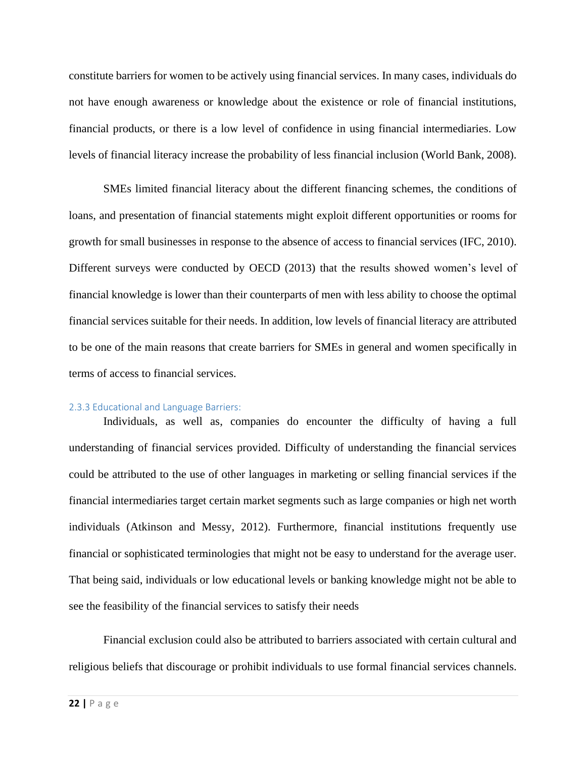constitute barriers for women to be actively using financial services. In many cases, individuals do not have enough awareness or knowledge about the existence or role of financial institutions, financial products, or there is a low level of confidence in using financial intermediaries. Low levels of financial literacy increase the probability of less financial inclusion (World Bank, 2008).

SMEs limited financial literacy about the different financing schemes, the conditions of loans, and presentation of financial statements might exploit different opportunities or rooms for growth for small businesses in response to the absence of access to financial services (IFC, 2010). Different surveys were conducted by OECD (2013) that the results showed women's level of financial knowledge is lower than their counterparts of men with less ability to choose the optimal financial services suitable for their needs. In addition, low levels of financial literacy are attributed to be one of the main reasons that create barriers for SMEs in general and women specifically in terms of access to financial services.

#### 2.3.3 Educational and Language Barriers:

Individuals, as well as, companies do encounter the difficulty of having a full understanding of financial services provided. Difficulty of understanding the financial services could be attributed to the use of other languages in marketing or selling financial services if the financial intermediaries target certain market segments such as large companies or high net worth individuals (Atkinson and Messy, 2012). Furthermore, financial institutions frequently use financial or sophisticated terminologies that might not be easy to understand for the average user. That being said, individuals or low educational levels or banking knowledge might not be able to see the feasibility of the financial services to satisfy their needs

Financial exclusion could also be attributed to barriers associated with certain cultural and religious beliefs that discourage or prohibit individuals to use formal financial services channels.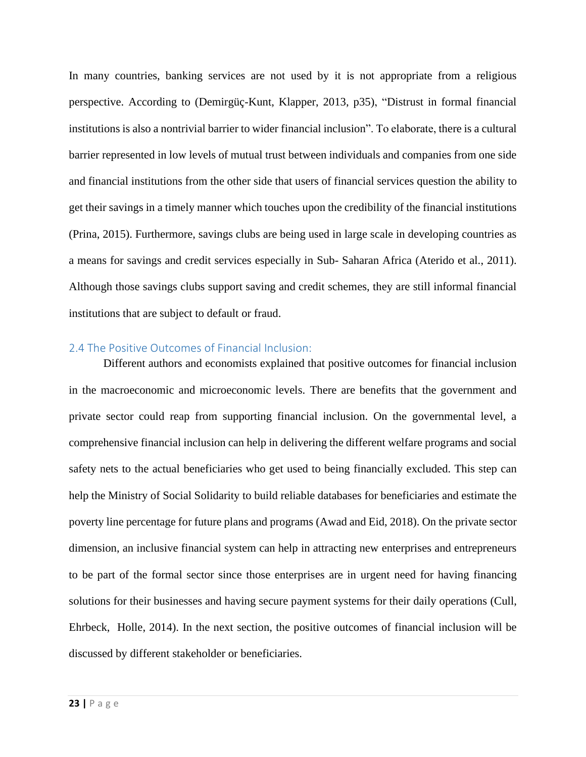In many countries, banking services are not used by it is not appropriate from a religious perspective. According to (Demirgüç-Kunt, Klapper, 2013, p35), "Distrust in formal financial institutions is also a nontrivial barrier to wider financial inclusion". To elaborate, there is a cultural barrier represented in low levels of mutual trust between individuals and companies from one side and financial institutions from the other side that users of financial services question the ability to get their savings in a timely manner which touches upon the credibility of the financial institutions (Prina, 2015). Furthermore, savings clubs are being used in large scale in developing countries as a means for savings and credit services especially in Sub- Saharan Africa (Aterido et al., 2011). Although those savings clubs support saving and credit schemes, they are still informal financial institutions that are subject to default or fraud.

#### <span id="page-23-0"></span>2.4 The Positive Outcomes of Financial Inclusion:

Different authors and economists explained that positive outcomes for financial inclusion in the macroeconomic and microeconomic levels. There are benefits that the government and private sector could reap from supporting financial inclusion. On the governmental level, a comprehensive financial inclusion can help in delivering the different welfare programs and social safety nets to the actual beneficiaries who get used to being financially excluded. This step can help the Ministry of Social Solidarity to build reliable databases for beneficiaries and estimate the poverty line percentage for future plans and programs (Awad and Eid, 2018). On the private sector dimension, an inclusive financial system can help in attracting new enterprises and entrepreneurs to be part of the formal sector since those enterprises are in urgent need for having financing solutions for their businesses and having secure payment systems for their daily operations (Cull, Ehrbeck, Holle, 2014). In the next section, the positive outcomes of financial inclusion will be discussed by different stakeholder or beneficiaries.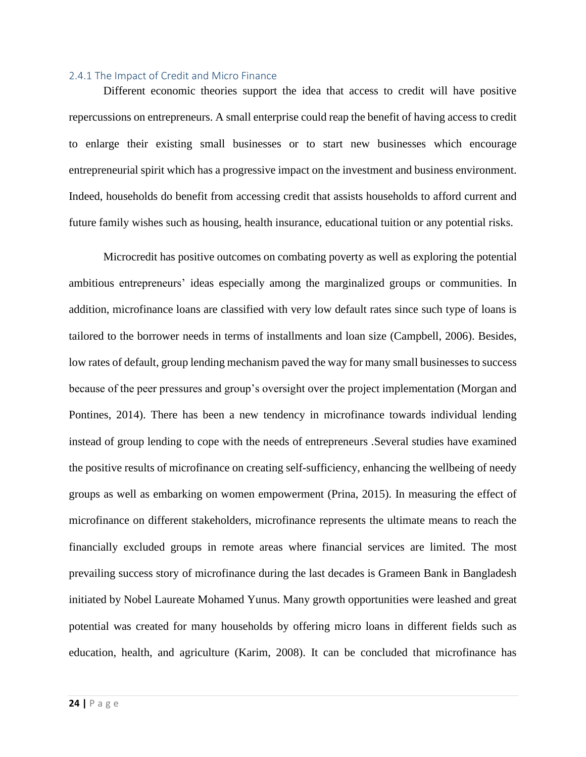#### <span id="page-24-0"></span>2.4.1 The Impact of Credit and Micro Finance

Different economic theories support the idea that access to credit will have positive repercussions on entrepreneurs. A small enterprise could reap the benefit of having access to credit to enlarge their existing small businesses or to start new businesses which encourage entrepreneurial spirit which has a progressive impact on the investment and business environment. Indeed, households do benefit from accessing credit that assists households to afford current and future family wishes such as housing, health insurance, educational tuition or any potential risks.

Microcredit has positive outcomes on combating poverty as well as exploring the potential ambitious entrepreneurs' ideas especially among the marginalized groups or communities. In addition, microfinance loans are classified with very low default rates since such type of loans is tailored to the borrower needs in terms of installments and loan size (Campbell, 2006). Besides, low rates of default, group lending mechanism paved the way for many small businesses to success because of the peer pressures and group's oversight over the project implementation (Morgan and Pontines, 2014). There has been a new tendency in microfinance towards individual lending instead of group lending to cope with the needs of entrepreneurs .Several studies have examined the positive results of microfinance on creating self-sufficiency, enhancing the wellbeing of needy groups as well as embarking on women empowerment (Prina, 2015). In measuring the effect of microfinance on different stakeholders, microfinance represents the ultimate means to reach the financially excluded groups in remote areas where financial services are limited. The most prevailing success story of microfinance during the last decades is Grameen Bank in Bangladesh initiated by Nobel Laureate Mohamed Yunus. Many growth opportunities were leashed and great potential was created for many households by offering micro loans in different fields such as education, health, and agriculture (Karim, 2008). It can be concluded that microfinance has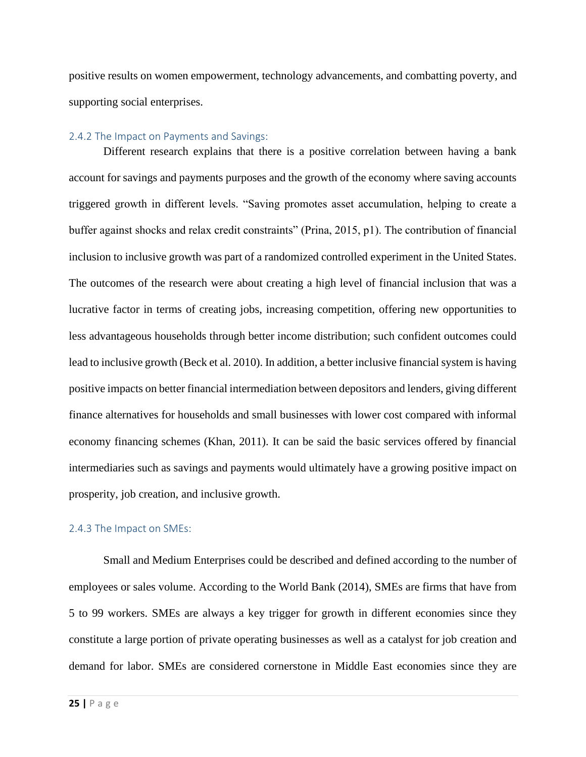positive results on women empowerment, technology advancements, and combatting poverty, and supporting social enterprises.

#### <span id="page-25-0"></span>2.4.2 The Impact on Payments and Savings:

Different research explains that there is a positive correlation between having a bank account for savings and payments purposes and the growth of the economy where saving accounts triggered growth in different levels. "Saving promotes asset accumulation, helping to create a buffer against shocks and relax credit constraints" (Prina, 2015, p1). The contribution of financial inclusion to inclusive growth was part of a randomized controlled experiment in the United States. The outcomes of the research were about creating a high level of financial inclusion that was a lucrative factor in terms of creating jobs, increasing competition, offering new opportunities to less advantageous households through better income distribution; such confident outcomes could lead to inclusive growth (Beck et al. 2010). In addition, a better inclusive financial system is having positive impacts on better financial intermediation between depositors and lenders, giving different finance alternatives for households and small businesses with lower cost compared with informal economy financing schemes (Khan, 2011). It can be said the basic services offered by financial intermediaries such as savings and payments would ultimately have a growing positive impact on prosperity, job creation, and inclusive growth.

#### <span id="page-25-1"></span>2.4.3 The Impact on SMEs:

Small and Medium Enterprises could be described and defined according to the number of employees or sales volume. According to the World Bank (2014), SMEs are firms that have from 5 to 99 workers. SMEs are always a key trigger for growth in different economies since they constitute a large portion of private operating businesses as well as a catalyst for job creation and demand for labor. SMEs are considered cornerstone in Middle East economies since they are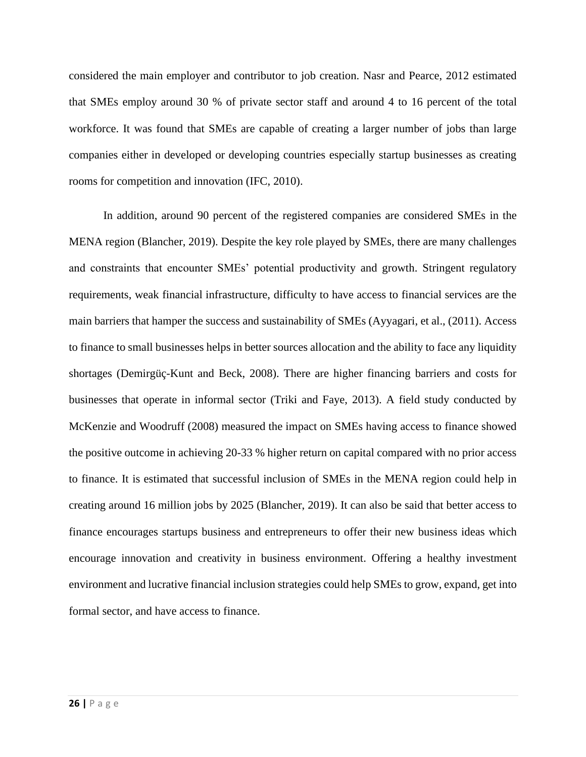considered the main employer and contributor to job creation. Nasr and Pearce, 2012 estimated that SMEs employ around 30 % of private sector staff and around 4 to 16 percent of the total workforce. It was found that SMEs are capable of creating a larger number of jobs than large companies either in developed or developing countries especially startup businesses as creating rooms for competition and innovation (IFC, 2010).

In addition, around 90 percent of the registered companies are considered SMEs in the MENA region (Blancher, 2019). Despite the key role played by SMEs, there are many challenges and constraints that encounter SMEs' potential productivity and growth. Stringent regulatory requirements, weak financial infrastructure, difficulty to have access to financial services are the main barriers that hamper the success and sustainability of SMEs (Ayyagari, et al., (2011). Access to finance to small businesses helps in better sources allocation and the ability to face any liquidity shortages (Demirgüç-Kunt and Beck, 2008). There are higher financing barriers and costs for businesses that operate in informal sector (Triki and Faye, 2013). A field study conducted by McKenzie and Woodruff (2008) measured the impact on SMEs having access to finance showed the positive outcome in achieving 20-33 % higher return on capital compared with no prior access to finance. It is estimated that successful inclusion of SMEs in the MENA region could help in creating around 16 million jobs by 2025 (Blancher, 2019). It can also be said that better access to finance encourages startups business and entrepreneurs to offer their new business ideas which encourage innovation and creativity in business environment. Offering a healthy investment environment and lucrative financial inclusion strategies could help SMEs to grow, expand, get into formal sector, and have access to finance.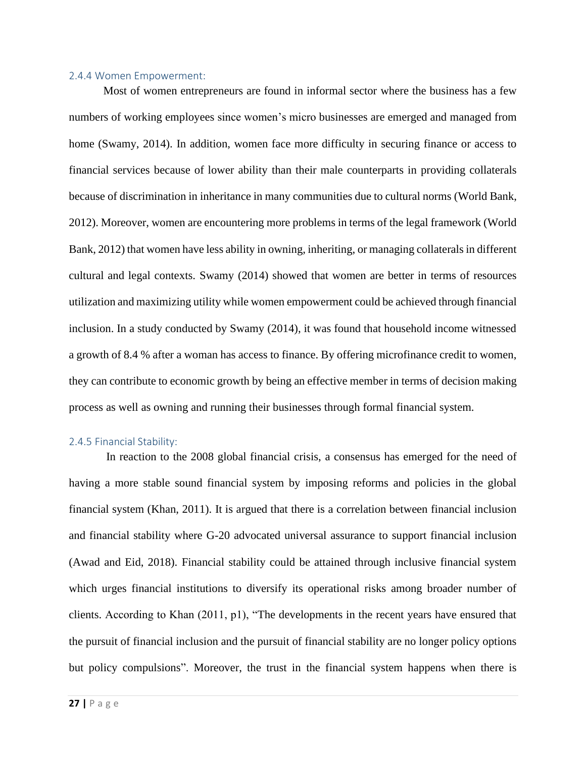#### <span id="page-27-0"></span>2.4.4 Women Empowerment:

Most of women entrepreneurs are found in informal sector where the business has a few numbers of working employees since women's micro businesses are emerged and managed from home (Swamy, 2014). In addition, women face more difficulty in securing finance or access to financial services because of lower ability than their male counterparts in providing collaterals because of discrimination in inheritance in many communities due to cultural norms (World Bank, 2012). Moreover, women are encountering more problems in terms of the legal framework (World Bank, 2012) that women have less ability in owning, inheriting, or managing collaterals in different cultural and legal contexts. Swamy (2014) showed that women are better in terms of resources utilization and maximizing utility while women empowerment could be achieved through financial inclusion. In a study conducted by Swamy (2014), it was found that household income witnessed a growth of 8.4 % after a woman has access to finance. By offering microfinance credit to women, they can contribute to economic growth by being an effective member in terms of decision making process as well as owning and running their businesses through formal financial system.

#### <span id="page-27-1"></span>2.4.5 Financial Stability:

In reaction to the 2008 global financial crisis, a consensus has emerged for the need of having a more stable sound financial system by imposing reforms and policies in the global financial system (Khan, 2011). It is argued that there is a correlation between financial inclusion and financial stability where G-20 advocated universal assurance to support financial inclusion (Awad and Eid, 2018). Financial stability could be attained through inclusive financial system which urges financial institutions to diversify its operational risks among broader number of clients. According to Khan (2011, p1), "The developments in the recent years have ensured that the pursuit of financial inclusion and the pursuit of financial stability are no longer policy options but policy compulsions". Moreover, the trust in the financial system happens when there is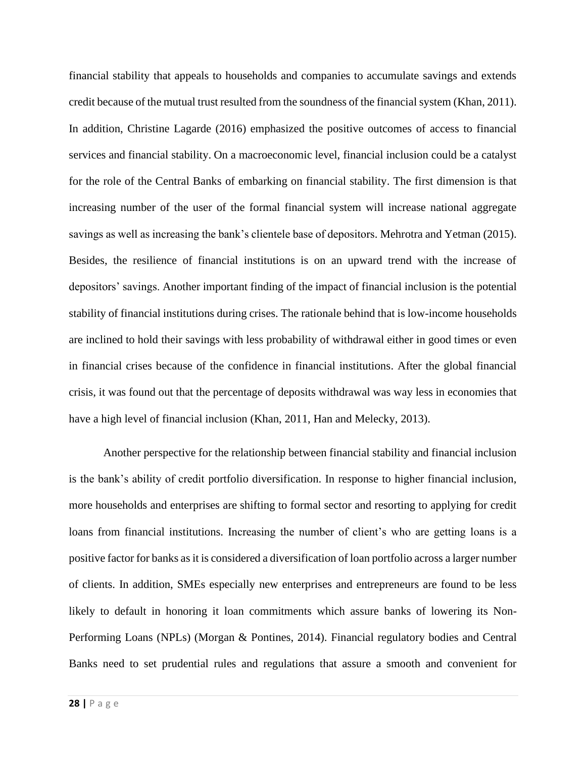financial stability that appeals to households and companies to accumulate savings and extends credit because of the mutual trust resulted from the soundness of the financial system (Khan, 2011). In addition, Christine Lagarde (2016) emphasized the positive outcomes of access to financial services and financial stability. On a macroeconomic level, financial inclusion could be a catalyst for the role of the Central Banks of embarking on financial stability. The first dimension is that increasing number of the user of the formal financial system will increase national aggregate savings as well as increasing the bank's clientele base of depositors. Mehrotra and Yetman (2015). Besides, the resilience of financial institutions is on an upward trend with the increase of depositors' savings. Another important finding of the impact of financial inclusion is the potential stability of financial institutions during crises. The rationale behind that is low-income households are inclined to hold their savings with less probability of withdrawal either in good times or even in financial crises because of the confidence in financial institutions. After the global financial crisis, it was found out that the percentage of deposits withdrawal was way less in economies that have a high level of financial inclusion (Khan, 2011, Han and Melecky, 2013).

Another perspective for the relationship between financial stability and financial inclusion is the bank's ability of credit portfolio diversification. In response to higher financial inclusion, more households and enterprises are shifting to formal sector and resorting to applying for credit loans from financial institutions. Increasing the number of client's who are getting loans is a positive factor for banks as it is considered a diversification of loan portfolio across a larger number of clients. In addition, SMEs especially new enterprises and entrepreneurs are found to be less likely to default in honoring it loan commitments which assure banks of lowering its Non-Performing Loans (NPLs) (Morgan & Pontines, 2014). Financial regulatory bodies and Central Banks need to set prudential rules and regulations that assure a smooth and convenient for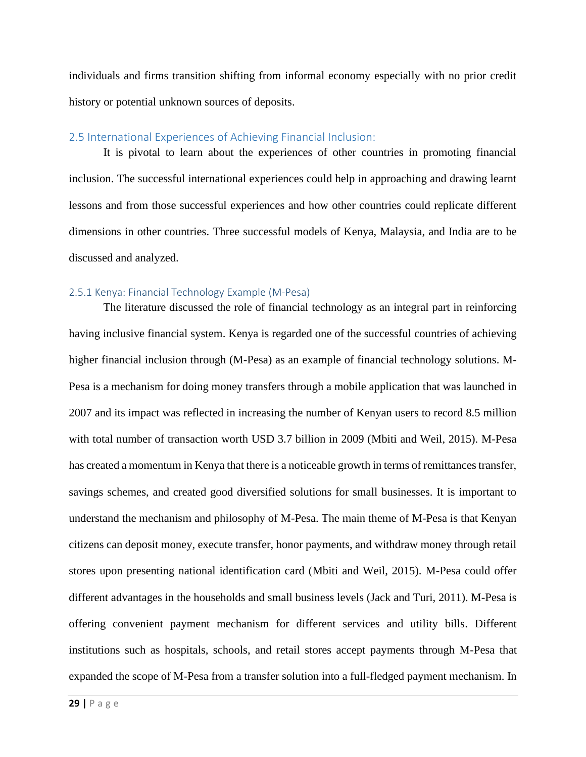individuals and firms transition shifting from informal economy especially with no prior credit history or potential unknown sources of deposits.

#### <span id="page-29-0"></span>2.5 International Experiences of Achieving Financial Inclusion:

It is pivotal to learn about the experiences of other countries in promoting financial inclusion. The successful international experiences could help in approaching and drawing learnt lessons and from those successful experiences and how other countries could replicate different dimensions in other countries. Three successful models of Kenya, Malaysia, and India are to be discussed and analyzed.

#### <span id="page-29-1"></span>2.5.1 Kenya: Financial Technology Example (M-Pesa)

The literature discussed the role of financial technology as an integral part in reinforcing having inclusive financial system. Kenya is regarded one of the successful countries of achieving higher financial inclusion through (M-Pesa) as an example of financial technology solutions. M-Pesa is a mechanism for doing money transfers through a mobile application that was launched in 2007 and its impact was reflected in increasing the number of Kenyan users to record 8.5 million with total number of transaction worth USD 3.7 billion in 2009 (Mbiti and Weil, 2015). M-Pesa has created a momentum in Kenya that there is a noticeable growth in terms of remittances transfer, savings schemes, and created good diversified solutions for small businesses. It is important to understand the mechanism and philosophy of M-Pesa. The main theme of M-Pesa is that Kenyan citizens can deposit money, execute transfer, honor payments, and withdraw money through retail stores upon presenting national identification card (Mbiti and Weil, 2015). M-Pesa could offer different advantages in the households and small business levels (Jack and Turi, 2011). M-Pesa is offering convenient payment mechanism for different services and utility bills. Different institutions such as hospitals, schools, and retail stores accept payments through M-Pesa that expanded the scope of M-Pesa from a transfer solution into a full-fledged payment mechanism. In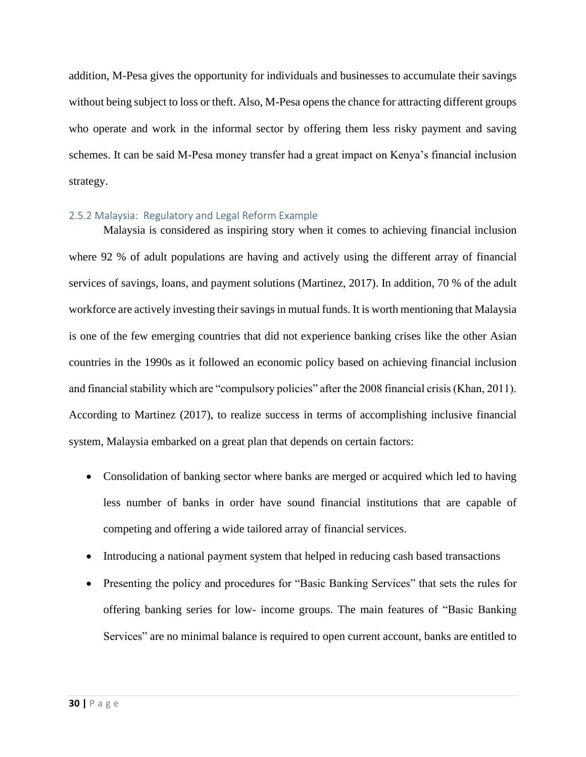addition, M-Pesa gives the opportunity for individuals and businesses to accumulate their savings without being subject to loss or theft. Also, M-Pesa opens the chance for attracting different groups who operate and work in the informal sector by offering them less risky payment and saving schemes. It can be said M-Pesa money transfer had a great impact on Kenya's financial inclusion strategy.

#### <span id="page-30-0"></span>2.5.2 Malaysia: Regulatory and Legal Reform Example

Malaysia is considered as inspiring story when it comes to achieving financial inclusion where 92 % of adult populations are having and actively using the different array of financial services of savings, loans, and payment solutions (Martinez, 2017). In addition, 70 % of the adult workforce are actively investing their savings in mutual funds. It is worth mentioning that Malaysia is one of the few emerging countries that did not experience banking crises like the other Asian countries in the 1990s as it followed an economic policy based on achieving financial inclusion and financial stability which are "compulsory policies" after the 2008 financial crisis (Khan, 2011). According to Martinez (2017), to realize success in terms of accomplishing inclusive financial system, Malaysia embarked on a great plan that depends on certain factors:

- Consolidation of banking sector where banks are merged or acquired which led to having less number of banks in order have sound financial institutions that are capable of competing and offering a wide tailored array of financial services.
- Introducing a national payment system that helped in reducing cash based transactions
- Presenting the policy and procedures for "Basic Banking Services" that sets the rules for offering banking series for low- income groups. The main features of "Basic Banking Services" are no minimal balance is required to open current account, banks are entitled to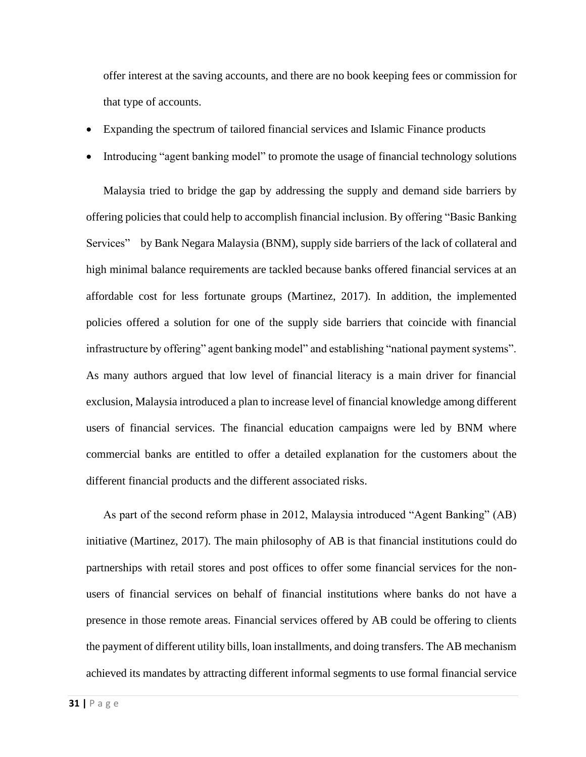offer interest at the saving accounts, and there are no book keeping fees or commission for that type of accounts.

- Expanding the spectrum of tailored financial services and Islamic Finance products
- Introducing "agent banking model" to promote the usage of financial technology solutions

Malaysia tried to bridge the gap by addressing the supply and demand side barriers by offering policies that could help to accomplish financial inclusion. By offering "Basic Banking Services" by Bank Negara Malaysia (BNM), supply side barriers of the lack of collateral and high minimal balance requirements are tackled because banks offered financial services at an affordable cost for less fortunate groups (Martinez, 2017). In addition, the implemented policies offered a solution for one of the supply side barriers that coincide with financial infrastructure by offering" agent banking model" and establishing "national payment systems". As many authors argued that low level of financial literacy is a main driver for financial exclusion, Malaysia introduced a plan to increase level of financial knowledge among different users of financial services. The financial education campaigns were led by BNM where commercial banks are entitled to offer a detailed explanation for the customers about the different financial products and the different associated risks.

As part of the second reform phase in 2012, Malaysia introduced "Agent Banking" (AB) initiative (Martinez, 2017). The main philosophy of AB is that financial institutions could do partnerships with retail stores and post offices to offer some financial services for the nonusers of financial services on behalf of financial institutions where banks do not have a presence in those remote areas. Financial services offered by AB could be offering to clients the payment of different utility bills, loan installments, and doing transfers. The AB mechanism achieved its mandates by attracting different informal segments to use formal financial service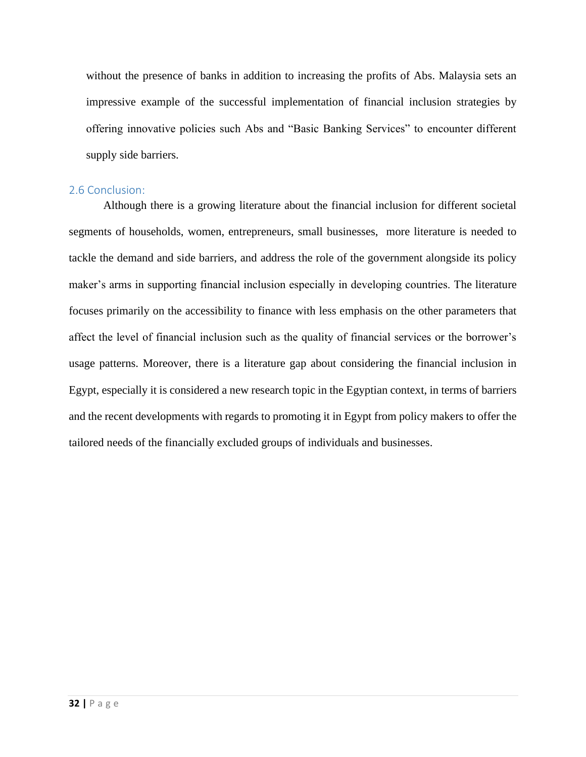without the presence of banks in addition to increasing the profits of Abs. Malaysia sets an impressive example of the successful implementation of financial inclusion strategies by offering innovative policies such Abs and "Basic Banking Services" to encounter different supply side barriers.

#### <span id="page-32-0"></span>2.6 Conclusion:

Although there is a growing literature about the financial inclusion for different societal segments of households, women, entrepreneurs, small businesses, more literature is needed to tackle the demand and side barriers, and address the role of the government alongside its policy maker's arms in supporting financial inclusion especially in developing countries. The literature focuses primarily on the accessibility to finance with less emphasis on the other parameters that affect the level of financial inclusion such as the quality of financial services or the borrower's usage patterns. Moreover, there is a literature gap about considering the financial inclusion in Egypt, especially it is considered a new research topic in the Egyptian context, in terms of barriers and the recent developments with regards to promoting it in Egypt from policy makers to offer the tailored needs of the financially excluded groups of individuals and businesses.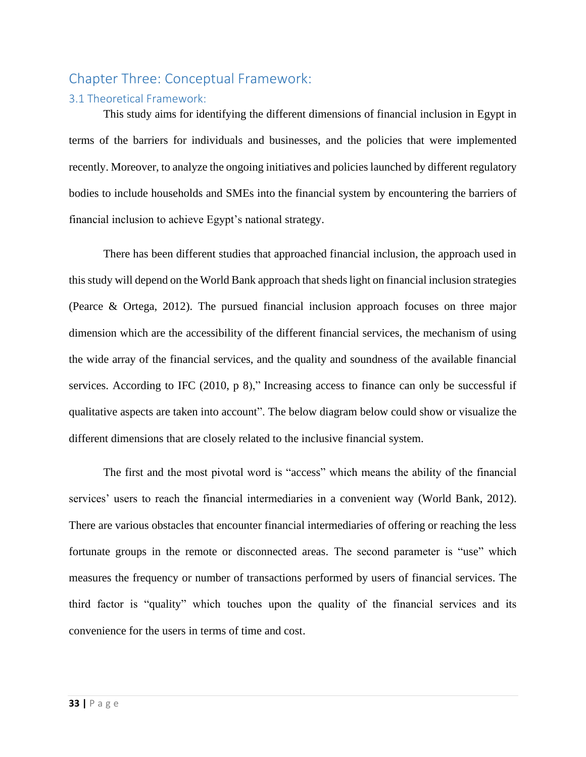## <span id="page-33-0"></span>Chapter Three: Conceptual Framework:

#### <span id="page-33-1"></span>3.1 Theoretical Framework:

This study aims for identifying the different dimensions of financial inclusion in Egypt in terms of the barriers for individuals and businesses, and the policies that were implemented recently. Moreover, to analyze the ongoing initiatives and policies launched by different regulatory bodies to include households and SMEs into the financial system by encountering the barriers of financial inclusion to achieve Egypt's national strategy.

There has been different studies that approached financial inclusion, the approach used in this study will depend on the World Bank approach that sheds light on financial inclusion strategies (Pearce & Ortega, 2012). The pursued financial inclusion approach focuses on three major dimension which are the accessibility of the different financial services, the mechanism of using the wide array of the financial services, and the quality and soundness of the available financial services. According to IFC (2010, p 8)," Increasing access to finance can only be successful if qualitative aspects are taken into account". The below diagram below could show or visualize the different dimensions that are closely related to the inclusive financial system.

The first and the most pivotal word is "access" which means the ability of the financial services' users to reach the financial intermediaries in a convenient way (World Bank, 2012). There are various obstacles that encounter financial intermediaries of offering or reaching the less fortunate groups in the remote or disconnected areas. The second parameter is "use" which measures the frequency or number of transactions performed by users of financial services. The third factor is "quality" which touches upon the quality of the financial services and its convenience for the users in terms of time and cost.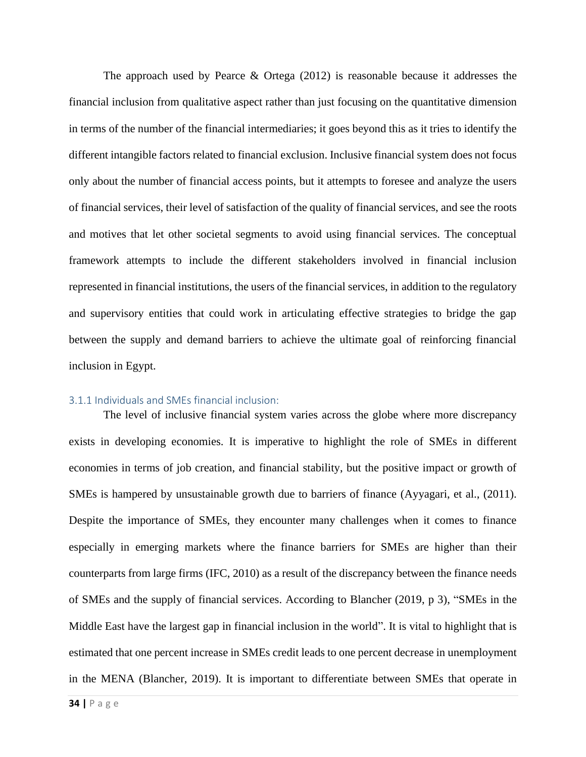The approach used by Pearce & Ortega (2012) is reasonable because it addresses the financial inclusion from qualitative aspect rather than just focusing on the quantitative dimension in terms of the number of the financial intermediaries; it goes beyond this as it tries to identify the different intangible factors related to financial exclusion. Inclusive financial system does not focus only about the number of financial access points, but it attempts to foresee and analyze the users of financial services, their level of satisfaction of the quality of financial services, and see the roots and motives that let other societal segments to avoid using financial services. The conceptual framework attempts to include the different stakeholders involved in financial inclusion represented in financial institutions, the users of the financial services, in addition to the regulatory and supervisory entities that could work in articulating effective strategies to bridge the gap between the supply and demand barriers to achieve the ultimate goal of reinforcing financial inclusion in Egypt.

#### <span id="page-34-0"></span>3.1.1 Individuals and SMEs financial inclusion:

The level of inclusive financial system varies across the globe where more discrepancy exists in developing economies. It is imperative to highlight the role of SMEs in different economies in terms of job creation, and financial stability, but the positive impact or growth of SMEs is hampered by unsustainable growth due to barriers of finance (Ayyagari, et al., (2011). Despite the importance of SMEs, they encounter many challenges when it comes to finance especially in emerging markets where the finance barriers for SMEs are higher than their counterparts from large firms (IFC, 2010) as a result of the discrepancy between the finance needs of SMEs and the supply of financial services. According to Blancher (2019, p 3), "SMEs in the Middle East have the largest gap in financial inclusion in the world". It is vital to highlight that is estimated that one percent increase in SMEs credit leads to one percent decrease in unemployment in the MENA (Blancher, 2019). It is important to differentiate between SMEs that operate in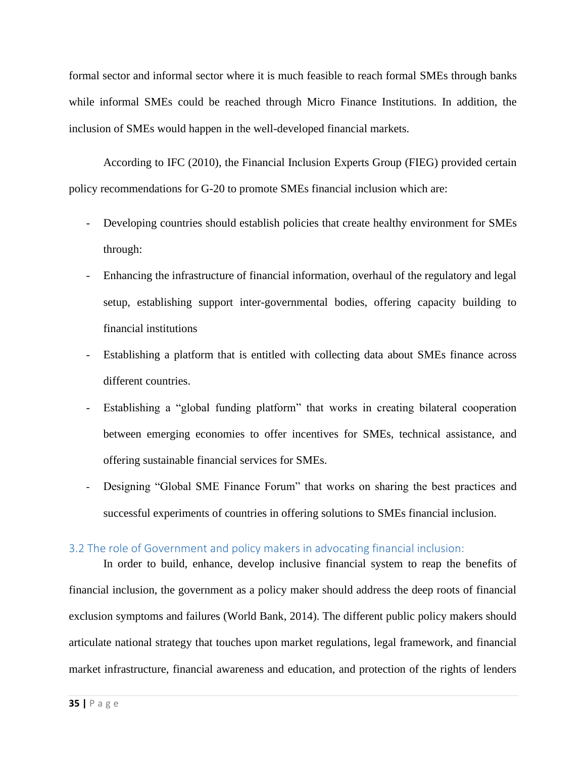formal sector and informal sector where it is much feasible to reach formal SMEs through banks while informal SMEs could be reached through Micro Finance Institutions. In addition, the inclusion of SMEs would happen in the well-developed financial markets.

According to IFC (2010), the Financial Inclusion Experts Group (FIEG) provided certain policy recommendations for G-20 to promote SMEs financial inclusion which are:

- Developing countries should establish policies that create healthy environment for SMEs through:
- Enhancing the infrastructure of financial information, overhaul of the regulatory and legal setup, establishing support inter-governmental bodies, offering capacity building to financial institutions
- Establishing a platform that is entitled with collecting data about SMEs finance across different countries.
- Establishing a "global funding platform" that works in creating bilateral cooperation between emerging economies to offer incentives for SMEs, technical assistance, and offering sustainable financial services for SMEs.
- Designing "Global SME Finance Forum" that works on sharing the best practices and successful experiments of countries in offering solutions to SMEs financial inclusion.

#### <span id="page-35-0"></span>3.2 The role of Government and policy makers in advocating financial inclusion:

In order to build, enhance, develop inclusive financial system to reap the benefits of financial inclusion, the government as a policy maker should address the deep roots of financial exclusion symptoms and failures (World Bank, 2014). The different public policy makers should articulate national strategy that touches upon market regulations, legal framework, and financial market infrastructure, financial awareness and education, and protection of the rights of lenders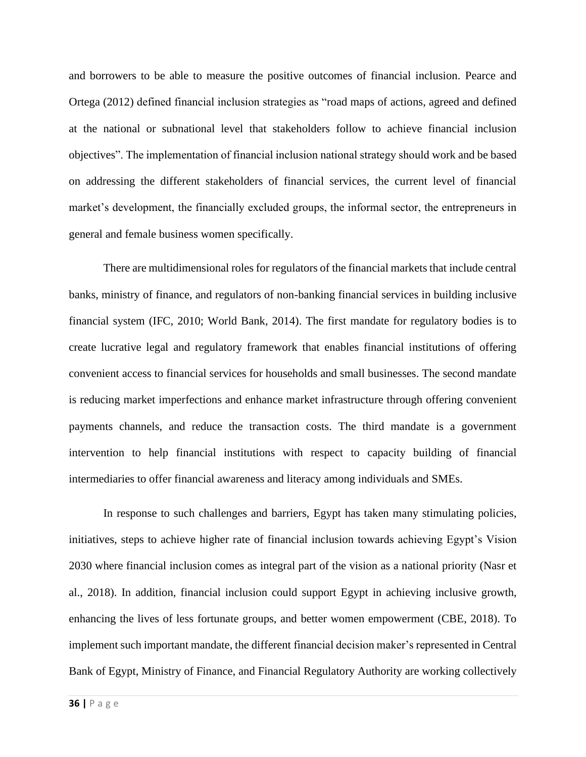and borrowers to be able to measure the positive outcomes of financial inclusion. Pearce and Ortega (2012) defined financial inclusion strategies as "road maps of actions, agreed and defined at the national or subnational level that stakeholders follow to achieve financial inclusion objectives". The implementation of financial inclusion national strategy should work and be based on addressing the different stakeholders of financial services, the current level of financial market's development, the financially excluded groups, the informal sector, the entrepreneurs in general and female business women specifically.

There are multidimensional roles for regulators of the financial markets that include central banks, ministry of finance, and regulators of non-banking financial services in building inclusive financial system (IFC, 2010; World Bank, 2014). The first mandate for regulatory bodies is to create lucrative legal and regulatory framework that enables financial institutions of offering convenient access to financial services for households and small businesses. The second mandate is reducing market imperfections and enhance market infrastructure through offering convenient payments channels, and reduce the transaction costs. The third mandate is a government intervention to help financial institutions with respect to capacity building of financial intermediaries to offer financial awareness and literacy among individuals and SMEs.

In response to such challenges and barriers, Egypt has taken many stimulating policies, initiatives, steps to achieve higher rate of financial inclusion towards achieving Egypt's Vision 2030 where financial inclusion comes as integral part of the vision as a national priority (Nasr et al., 2018). In addition, financial inclusion could support Egypt in achieving inclusive growth, enhancing the lives of less fortunate groups, and better women empowerment (CBE, 2018). To implement such important mandate, the different financial decision maker's represented in Central Bank of Egypt, Ministry of Finance, and Financial Regulatory Authority are working collectively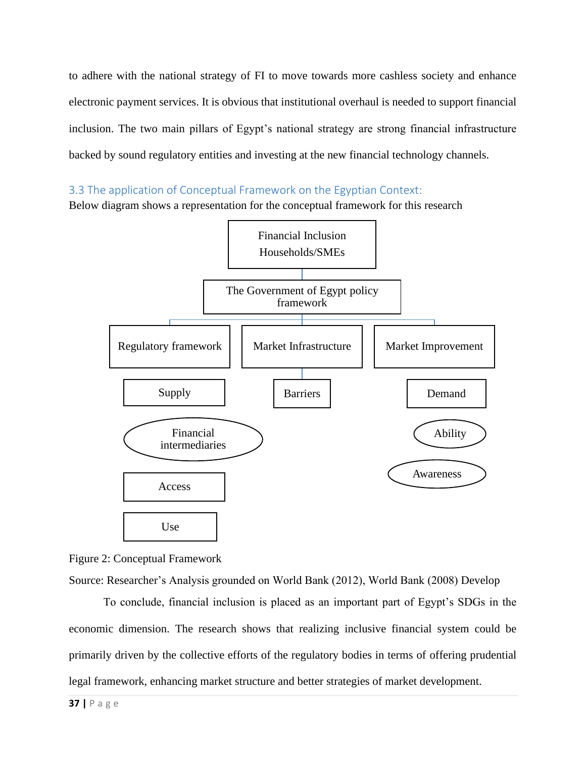to adhere with the national strategy of FI to move towards more cashless society and enhance electronic payment services. It is obvious that institutional overhaul is needed to support financial inclusion. The two main pillars of Egypt's national strategy are strong financial infrastructure backed by sound regulatory entities and investing at the new financial technology channels.

### 3.3 The application of Conceptual Framework on the Egyptian Context:

Below diagram shows a representation for the conceptual framework for this research



Figure 2: Conceptual Framework

Source: Researcher's Analysis grounded on World Bank (2012), World Bank (2008) Develop

To conclude, financial inclusion is placed as an important part of Egypt's SDGs in the economic dimension. The research shows that realizing inclusive financial system could be primarily driven by the collective efforts of the regulatory bodies in terms of offering prudential legal framework, enhancing market structure and better strategies of market development.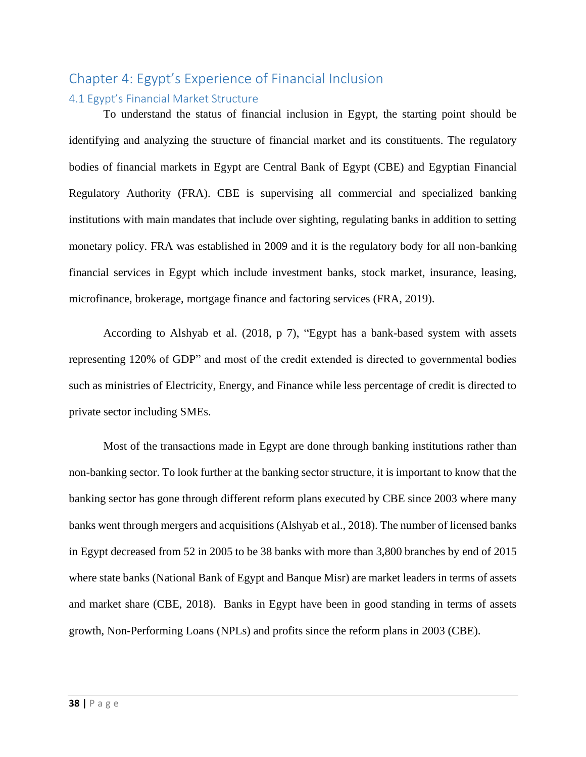# Chapter 4: Egypt's Experience of Financial Inclusion 4.1 Egypt's Financial Market Structure

To understand the status of financial inclusion in Egypt, the starting point should be identifying and analyzing the structure of financial market and its constituents. The regulatory bodies of financial markets in Egypt are Central Bank of Egypt (CBE) and Egyptian Financial Regulatory Authority (FRA). CBE is supervising all commercial and specialized banking institutions with main mandates that include over sighting, regulating banks in addition to setting monetary policy. FRA was established in 2009 and it is the regulatory body for all non-banking financial services in Egypt which include investment banks, stock market, insurance, leasing, microfinance, brokerage, mortgage finance and factoring services (FRA, 2019).

According to Alshyab et al. (2018, p 7), "Egypt has a bank-based system with assets representing 120% of GDP" and most of the credit extended is directed to governmental bodies such as ministries of Electricity, Energy, and Finance while less percentage of credit is directed to private sector including SMEs.

Most of the transactions made in Egypt are done through banking institutions rather than non-banking sector. To look further at the banking sector structure, it is important to know that the banking sector has gone through different reform plans executed by CBE since 2003 where many banks went through mergers and acquisitions (Alshyab et al., 2018). The number of licensed banks in Egypt decreased from 52 in 2005 to be 38 banks with more than 3,800 branches by end of 2015 where state banks (National Bank of Egypt and Banque Misr) are market leaders in terms of assets and market share (CBE, 2018). Banks in Egypt have been in good standing in terms of assets growth, Non-Performing Loans (NPLs) and profits since the reform plans in 2003 (CBE).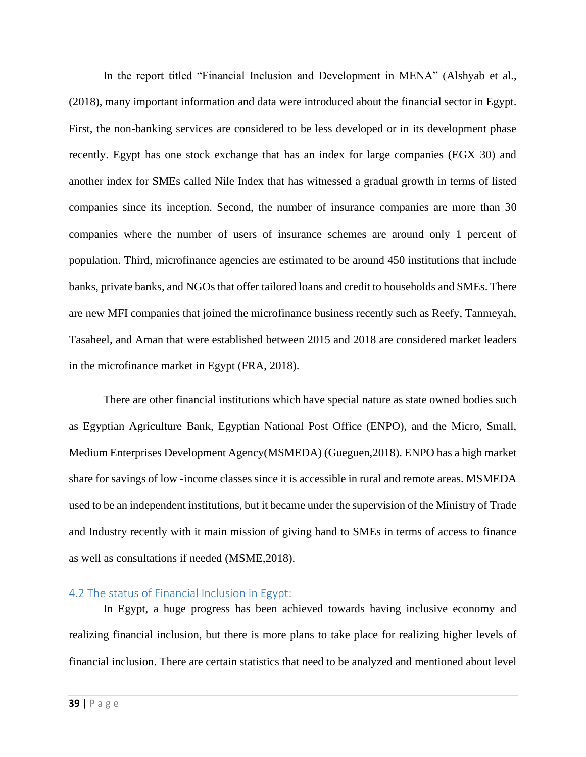In the report titled "Financial Inclusion and Development in MENA" (Alshyab et al., (2018), many important information and data were introduced about the financial sector in Egypt. First, the non-banking services are considered to be less developed or in its development phase recently. Egypt has one stock exchange that has an index for large companies (EGX 30) and another index for SMEs called Nile Index that has witnessed a gradual growth in terms of listed companies since its inception. Second, the number of insurance companies are more than 30 companies where the number of users of insurance schemes are around only 1 percent of population. Third, microfinance agencies are estimated to be around 450 institutions that include banks, private banks, and NGOs that offer tailored loans and credit to households and SMEs. There are new MFI companies that joined the microfinance business recently such as Reefy, Tanmeyah, Tasaheel, and Aman that were established between 2015 and 2018 are considered market leaders in the microfinance market in Egypt (FRA, 2018).

There are other financial institutions which have special nature as state owned bodies such as Egyptian Agriculture Bank, Egyptian National Post Office (ENPO), and the Micro, Small, Medium Enterprises Development Agency(MSMEDA) (Gueguen,2018). ENPO has a high market share for savings of low -income classes since it is accessible in rural and remote areas. MSMEDA used to be an independent institutions, but it became under the supervision of the Ministry of Trade and Industry recently with it main mission of giving hand to SMEs in terms of access to finance as well as consultations if needed (MSME,2018).

#### 4.2 The status of Financial Inclusion in Egypt:

In Egypt, a huge progress has been achieved towards having inclusive economy and realizing financial inclusion, but there is more plans to take place for realizing higher levels of financial inclusion. There are certain statistics that need to be analyzed and mentioned about level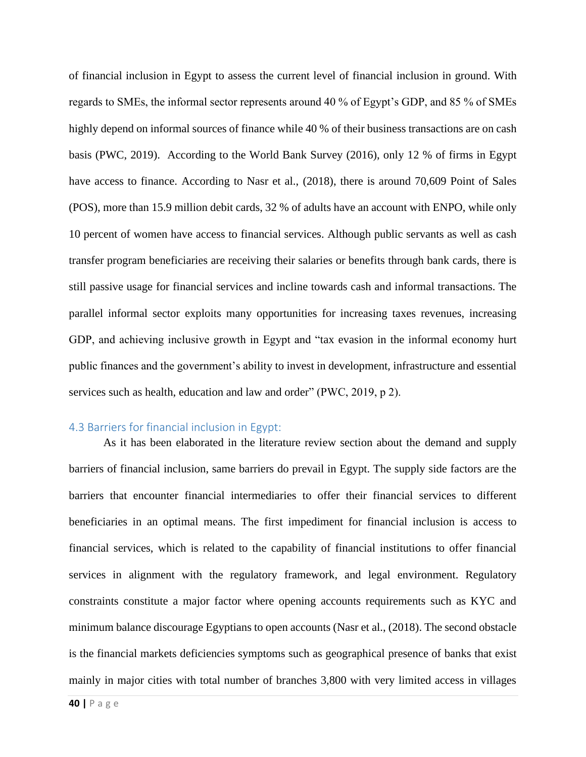of financial inclusion in Egypt to assess the current level of financial inclusion in ground. With regards to SMEs, the informal sector represents around 40 % of Egypt's GDP, and 85 % of SMEs highly depend on informal sources of finance while 40 % of their business transactions are on cash basis (PWC, 2019). According to the World Bank Survey (2016), only 12 % of firms in Egypt have access to finance. According to Nasr et al., (2018), there is around 70,609 Point of Sales (POS), more than 15.9 million debit cards, 32 % of adults have an account with ENPO, while only 10 percent of women have access to financial services. Although public servants as well as cash transfer program beneficiaries are receiving their salaries or benefits through bank cards, there is still passive usage for financial services and incline towards cash and informal transactions. The parallel informal sector exploits many opportunities for increasing taxes revenues, increasing GDP, and achieving inclusive growth in Egypt and "tax evasion in the informal economy hurt public finances and the government's ability to invest in development, infrastructure and essential services such as health, education and law and order" (PWC, 2019, p 2).

### 4.3 Barriers for financial inclusion in Egypt:

As it has been elaborated in the literature review section about the demand and supply barriers of financial inclusion, same barriers do prevail in Egypt. The supply side factors are the barriers that encounter financial intermediaries to offer their financial services to different beneficiaries in an optimal means. The first impediment for financial inclusion is access to financial services, which is related to the capability of financial institutions to offer financial services in alignment with the regulatory framework, and legal environment. Regulatory constraints constitute a major factor where opening accounts requirements such as KYC and minimum balance discourage Egyptians to open accounts (Nasr et al., (2018). The second obstacle is the financial markets deficiencies symptoms such as geographical presence of banks that exist mainly in major cities with total number of branches 3,800 with very limited access in villages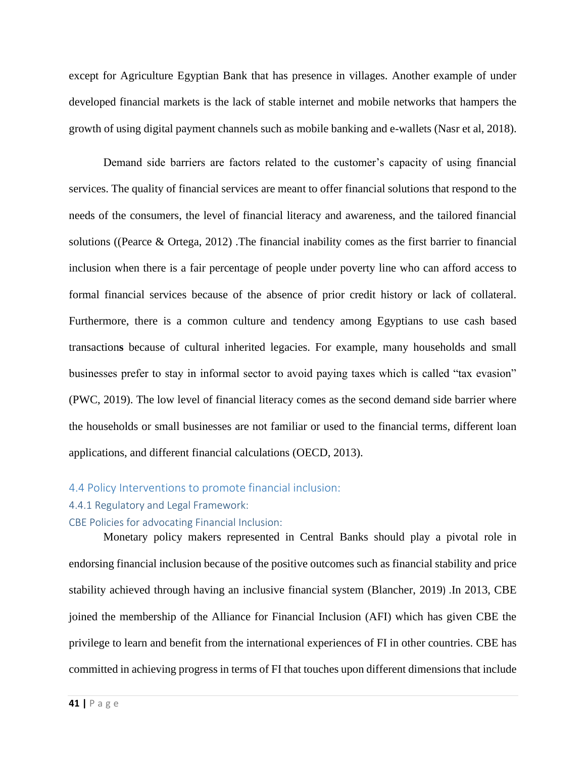except for Agriculture Egyptian Bank that has presence in villages. Another example of under developed financial markets is the lack of stable internet and mobile networks that hampers the growth of using digital payment channels such as mobile banking and e-wallets (Nasr et al, 2018).

Demand side barriers are factors related to the customer's capacity of using financial services. The quality of financial services are meant to offer financial solutions that respond to the needs of the consumers, the level of financial literacy and awareness, and the tailored financial solutions ((Pearce & Ortega, 2012) .The financial inability comes as the first barrier to financial inclusion when there is a fair percentage of people under poverty line who can afford access to formal financial services because of the absence of prior credit history or lack of collateral. Furthermore, there is a common culture and tendency among Egyptians to use cash based transaction**s** because of cultural inherited legacies. For example, many households and small businesses prefer to stay in informal sector to avoid paying taxes which is called "tax evasion" (PWC, 2019). The low level of financial literacy comes as the second demand side barrier where the households or small businesses are not familiar or used to the financial terms, different loan applications, and different financial calculations (OECD, 2013).

#### 4.4 Policy Interventions to promote financial inclusion:

#### 4.4.1 Regulatory and Legal Framework:

CBE Policies for advocating Financial Inclusion:

Monetary policy makers represented in Central Banks should play a pivotal role in endorsing financial inclusion because of the positive outcomes such as financial stability and price stability achieved through having an inclusive financial system (Blancher, 2019) .In 2013, CBE joined the membership of the Alliance for Financial Inclusion (AFI) which has given CBE the privilege to learn and benefit from the international experiences of FI in other countries. CBE has committed in achieving progress in terms of FI that touches upon different dimensions that include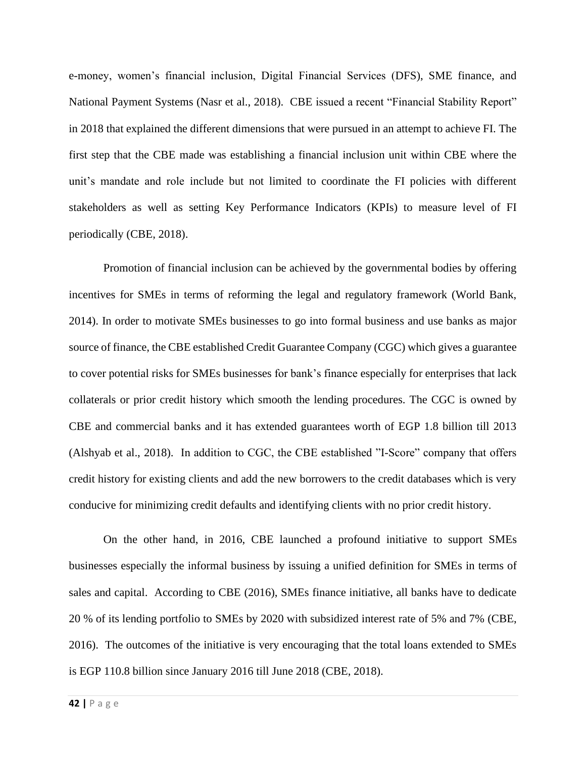e-money, women's financial inclusion, Digital Financial Services (DFS), SME finance, and National Payment Systems (Nasr et al., 2018). CBE issued a recent "Financial Stability Report" in 2018 that explained the different dimensions that were pursued in an attempt to achieve FI. The first step that the CBE made was establishing a financial inclusion unit within CBE where the unit's mandate and role include but not limited to coordinate the FI policies with different stakeholders as well as setting Key Performance Indicators (KPIs) to measure level of FI periodically (CBE, 2018).

Promotion of financial inclusion can be achieved by the governmental bodies by offering incentives for SMEs in terms of reforming the legal and regulatory framework (World Bank, 2014). In order to motivate SMEs businesses to go into formal business and use banks as major source of finance, the CBE established Credit Guarantee Company (CGC) which gives a guarantee to cover potential risks for SMEs businesses for bank's finance especially for enterprises that lack collaterals or prior credit history which smooth the lending procedures. The CGC is owned by CBE and commercial banks and it has extended guarantees worth of EGP 1.8 billion till 2013 (Alshyab et al., 2018). In addition to CGC, the CBE established "I-Score" company that offers credit history for existing clients and add the new borrowers to the credit databases which is very conducive for minimizing credit defaults and identifying clients with no prior credit history.

On the other hand, in 2016, CBE launched a profound initiative to support SMEs businesses especially the informal business by issuing a unified definition for SMEs in terms of sales and capital. According to CBE (2016), SMEs finance initiative, all banks have to dedicate 20 % of its lending portfolio to SMEs by 2020 with subsidized interest rate of 5% and 7% (CBE, 2016). The outcomes of the initiative is very encouraging that the total loans extended to SMEs is EGP 110.8 billion since January 2016 till June 2018 (CBE, 2018).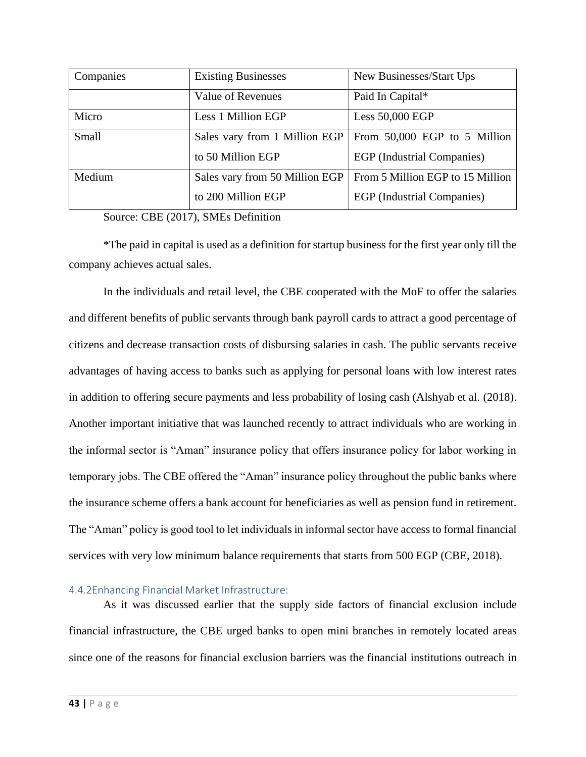| Companies | <b>Existing Businesses</b>     | New Businesses/Start Ups          |
|-----------|--------------------------------|-----------------------------------|
|           | Value of Revenues              | Paid In Capital*                  |
| Micro     | Less 1 Million EGP             | Less 50,000 EGP                   |
| Small     | Sales vary from 1 Million EGP  | From 50,000 EGP to 5 Million      |
|           | to 50 Million EGP              | EGP (Industrial Companies)        |
| Medium    | Sales vary from 50 Million EGP | From 5 Million EGP to 15 Million  |
|           | to 200 Million EGP             | <b>EGP</b> (Industrial Companies) |

Source: CBE (2017), SMEs Definition

\*The paid in capital is used as a definition for startup business for the first year only till the company achieves actual sales.

In the individuals and retail level, the CBE cooperated with the MoF to offer the salaries and different benefits of public servants through bank payroll cards to attract a good percentage of citizens and decrease transaction costs of disbursing salaries in cash. The public servants receive advantages of having access to banks such as applying for personal loans with low interest rates in addition to offering secure payments and less probability of losing cash (Alshyab et al. (2018). Another important initiative that was launched recently to attract individuals who are working in the informal sector is "Aman" insurance policy that offers insurance policy for labor working in temporary jobs. The CBE offered the "Aman" insurance policy throughout the public banks where the insurance scheme offers a bank account for beneficiaries as well as pension fund in retirement. The "Aman" policy is good tool to let individuals in informal sector have access to formal financial services with very low minimum balance requirements that starts from 500 EGP (CBE, 2018).

## 4.4.2Enhancing Financial Market Infrastructure:

As it was discussed earlier that the supply side factors of financial exclusion include financial infrastructure, the CBE urged banks to open mini branches in remotely located areas since one of the reasons for financial exclusion barriers was the financial institutions outreach in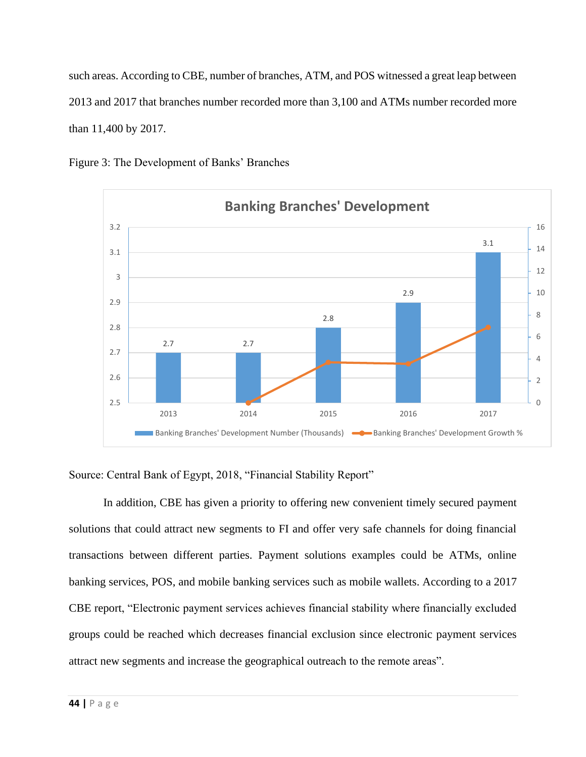such areas. According to CBE, number of branches, ATM, and POS witnessed a great leap between 2013 and 2017 that branches number recorded more than 3,100 and ATMs number recorded more than 11,400 by 2017.





Source: Central Bank of Egypt, 2018, "Financial Stability Report"

In addition, CBE has given a priority to offering new convenient timely secured payment solutions that could attract new segments to FI and offer very safe channels for doing financial transactions between different parties. Payment solutions examples could be ATMs, online banking services, POS, and mobile banking services such as mobile wallets. According to a 2017 CBE report, "Electronic payment services achieves financial stability where financially excluded groups could be reached which decreases financial exclusion since electronic payment services attract new segments and increase the geographical outreach to the remote areas".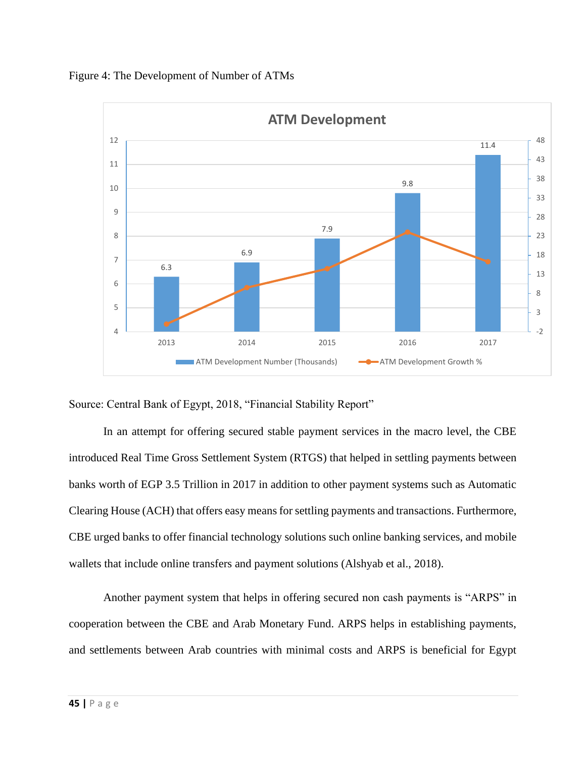



Source: Central Bank of Egypt, 2018, "Financial Stability Report"

In an attempt for offering secured stable payment services in the macro level, the CBE introduced Real Time Gross Settlement System (RTGS) that helped in settling payments between banks worth of EGP 3.5 Trillion in 2017 in addition to other payment systems such as Automatic Clearing House (ACH) that offers easy means for settling payments and transactions. Furthermore, CBE urged banks to offer financial technology solutions such online banking services, and mobile wallets that include online transfers and payment solutions (Alshyab et al., 2018).

Another payment system that helps in offering secured non cash payments is "ARPS" in cooperation between the CBE and Arab Monetary Fund. ARPS helps in establishing payments, and settlements between Arab countries with minimal costs and ARPS is beneficial for Egypt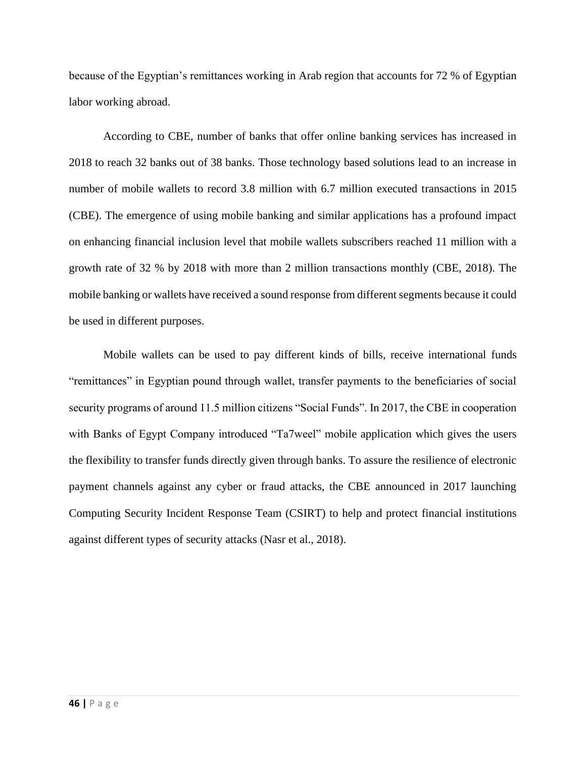because of the Egyptian's remittances working in Arab region that accounts for 72 % of Egyptian labor working abroad.

According to CBE, number of banks that offer online banking services has increased in 2018 to reach 32 banks out of 38 banks. Those technology based solutions lead to an increase in number of mobile wallets to record 3.8 million with 6.7 million executed transactions in 2015 (CBE). The emergence of using mobile banking and similar applications has a profound impact on enhancing financial inclusion level that mobile wallets subscribers reached 11 million with a growth rate of 32 % by 2018 with more than 2 million transactions monthly (CBE, 2018). The mobile banking or wallets have received a sound response from different segments because it could be used in different purposes.

Mobile wallets can be used to pay different kinds of bills, receive international funds "remittances" in Egyptian pound through wallet, transfer payments to the beneficiaries of social security programs of around 11.5 million citizens "Social Funds". In 2017, the CBE in cooperation with Banks of Egypt Company introduced "Ta7weel" mobile application which gives the users the flexibility to transfer funds directly given through banks. To assure the resilience of electronic payment channels against any cyber or fraud attacks, the CBE announced in 2017 launching Computing Security Incident Response Team (CSIRT) to help and protect financial institutions against different types of security attacks (Nasr et al., 2018).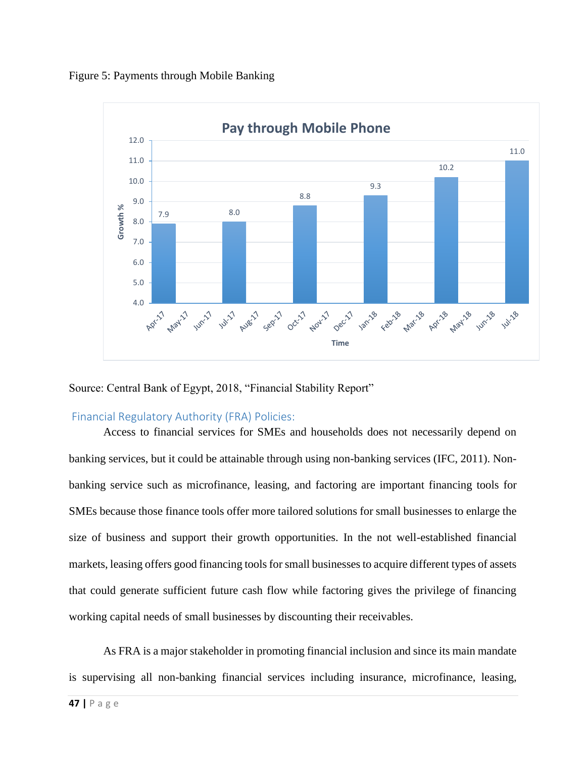



Source: Central Bank of Egypt, 2018, "Financial Stability Report"

## Financial Regulatory Authority (FRA) Policies:

Access to financial services for SMEs and households does not necessarily depend on banking services, but it could be attainable through using non-banking services (IFC, 2011). Nonbanking service such as microfinance, leasing, and factoring are important financing tools for SMEs because those finance tools offer more tailored solutions for small businesses to enlarge the size of business and support their growth opportunities. In the not well-established financial markets, leasing offers good financing tools for small businesses to acquire different types of assets that could generate sufficient future cash flow while factoring gives the privilege of financing working capital needs of small businesses by discounting their receivables.

As FRA is a major stakeholder in promoting financial inclusion and since its main mandate is supervising all non-banking financial services including insurance, microfinance, leasing,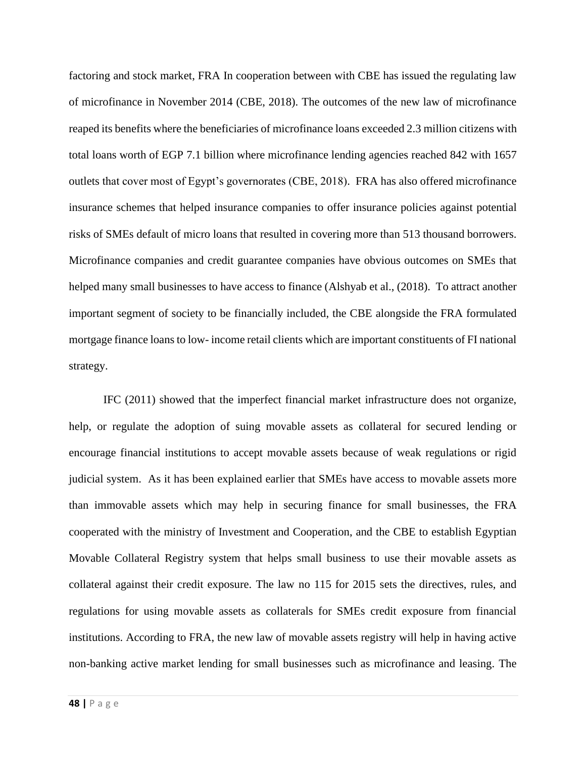factoring and stock market, FRA In cooperation between with CBE has issued the regulating law of microfinance in November 2014 (CBE, 2018). The outcomes of the new law of microfinance reaped its benefits where the beneficiaries of microfinance loans exceeded 2.3 million citizens with total loans worth of EGP 7.1 billion where microfinance lending agencies reached 842 with 1657 outlets that cover most of Egypt's governorates (CBE, 2018). FRA has also offered microfinance insurance schemes that helped insurance companies to offer insurance policies against potential risks of SMEs default of micro loans that resulted in covering more than 513 thousand borrowers. Microfinance companies and credit guarantee companies have obvious outcomes on SMEs that helped many small businesses to have access to finance (Alshyab et al., (2018). To attract another important segment of society to be financially included, the CBE alongside the FRA formulated mortgage finance loans to low- income retail clients which are important constituents of FI national strategy.

IFC (2011) showed that the imperfect financial market infrastructure does not organize, help, or regulate the adoption of suing movable assets as collateral for secured lending or encourage financial institutions to accept movable assets because of weak regulations or rigid judicial system. As it has been explained earlier that SMEs have access to movable assets more than immovable assets which may help in securing finance for small businesses, the FRA cooperated with the ministry of Investment and Cooperation, and the CBE to establish Egyptian Movable Collateral Registry system that helps small business to use their movable assets as collateral against their credit exposure. The law no 115 for 2015 sets the directives, rules, and regulations for using movable assets as collaterals for SMEs credit exposure from financial institutions. According to FRA, the new law of movable assets registry will help in having active non-banking active market lending for small businesses such as microfinance and leasing. The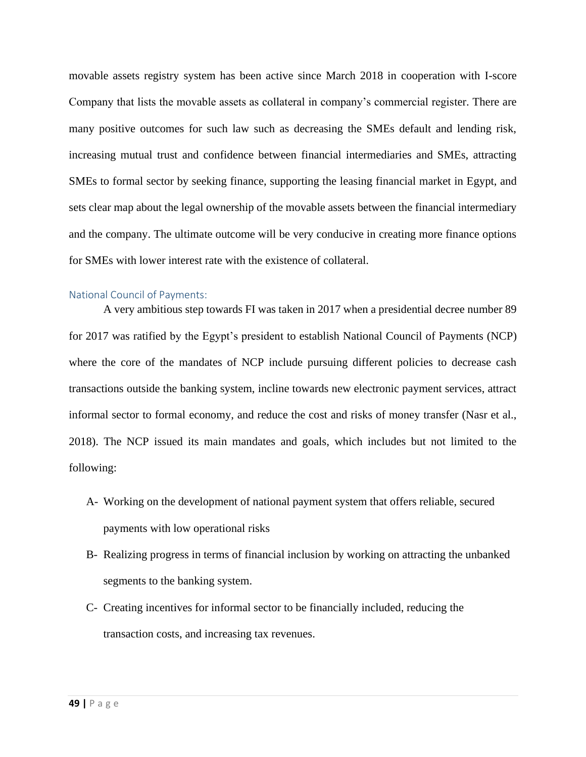movable assets registry system has been active since March 2018 in cooperation with I-score Company that lists the movable assets as collateral in company's commercial register. There are many positive outcomes for such law such as decreasing the SMEs default and lending risk, increasing mutual trust and confidence between financial intermediaries and SMEs, attracting SMEs to formal sector by seeking finance, supporting the leasing financial market in Egypt, and sets clear map about the legal ownership of the movable assets between the financial intermediary and the company. The ultimate outcome will be very conducive in creating more finance options for SMEs with lower interest rate with the existence of collateral.

#### National Council of Payments:

A very ambitious step towards FI was taken in 2017 when a presidential decree number 89 for 2017 was ratified by the Egypt's president to establish National Council of Payments (NCP) where the core of the mandates of NCP include pursuing different policies to decrease cash transactions outside the banking system, incline towards new electronic payment services, attract informal sector to formal economy, and reduce the cost and risks of money transfer (Nasr et al., 2018). The NCP issued its main mandates and goals, which includes but not limited to the following:

- A- Working on the development of national payment system that offers reliable, secured payments with low operational risks
- B- Realizing progress in terms of financial inclusion by working on attracting the unbanked segments to the banking system.
- C- Creating incentives for informal sector to be financially included, reducing the transaction costs, and increasing tax revenues.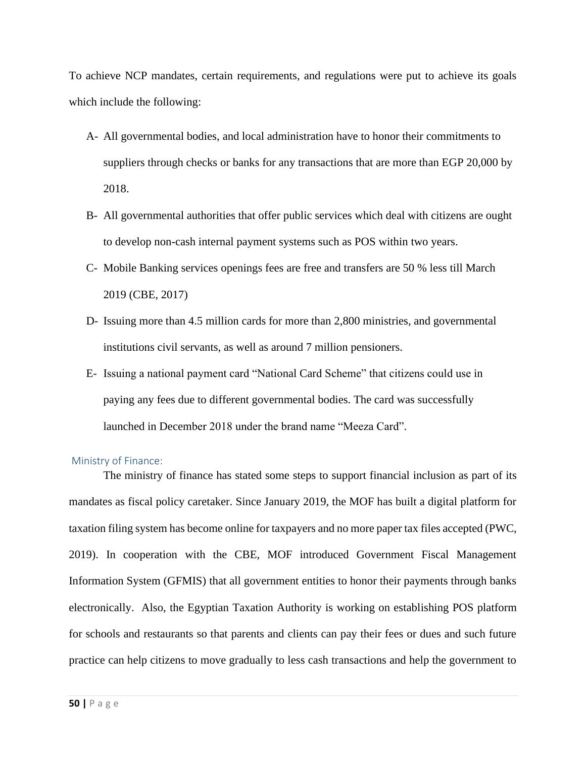To achieve NCP mandates, certain requirements, and regulations were put to achieve its goals which include the following:

- A- All governmental bodies, and local administration have to honor their commitments to suppliers through checks or banks for any transactions that are more than EGP 20,000 by 2018.
- B- All governmental authorities that offer public services which deal with citizens are ought to develop non-cash internal payment systems such as POS within two years.
- C- Mobile Banking services openings fees are free and transfers are 50 % less till March 2019 (CBE, 2017)
- D- Issuing more than 4.5 million cards for more than 2,800 ministries, and governmental institutions civil servants, as well as around 7 million pensioners.
- E- Issuing a national payment card "National Card Scheme" that citizens could use in paying any fees due to different governmental bodies. The card was successfully launched in December 2018 under the brand name "Meeza Card".

#### Ministry of Finance:

The ministry of finance has stated some steps to support financial inclusion as part of its mandates as fiscal policy caretaker. Since January 2019, the MOF has built a digital platform for taxation filing system has become online for taxpayers and no more paper tax files accepted (PWC, 2019). In cooperation with the CBE, MOF introduced Government Fiscal Management Information System (GFMIS) that all government entities to honor their payments through banks electronically. Also, the Egyptian Taxation Authority is working on establishing POS platform for schools and restaurants so that parents and clients can pay their fees or dues and such future practice can help citizens to move gradually to less cash transactions and help the government to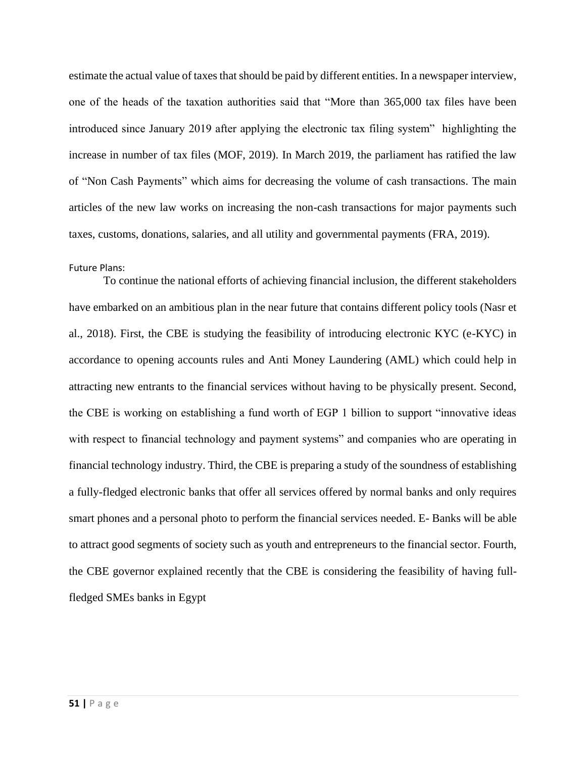estimate the actual value of taxes that should be paid by different entities. In a newspaper interview, one of the heads of the taxation authorities said that "More than 365,000 tax files have been introduced since January 2019 after applying the electronic tax filing system" highlighting the increase in number of tax files (MOF, 2019). In March 2019, the parliament has ratified the law of "Non Cash Payments" which aims for decreasing the volume of cash transactions. The main articles of the new law works on increasing the non-cash transactions for major payments such taxes, customs, donations, salaries, and all utility and governmental payments (FRA, 2019).

#### Future Plans:

To continue the national efforts of achieving financial inclusion, the different stakeholders have embarked on an ambitious plan in the near future that contains different policy tools (Nasr et al., 2018). First, the CBE is studying the feasibility of introducing electronic KYC (e-KYC) in accordance to opening accounts rules and Anti Money Laundering (AML) which could help in attracting new entrants to the financial services without having to be physically present. Second, the CBE is working on establishing a fund worth of EGP 1 billion to support "innovative ideas with respect to financial technology and payment systems" and companies who are operating in financial technology industry. Third, the CBE is preparing a study of the soundness of establishing a fully-fledged electronic banks that offer all services offered by normal banks and only requires smart phones and a personal photo to perform the financial services needed. E- Banks will be able to attract good segments of society such as youth and entrepreneurs to the financial sector. Fourth, the CBE governor explained recently that the CBE is considering the feasibility of having fullfledged SMEs banks in Egypt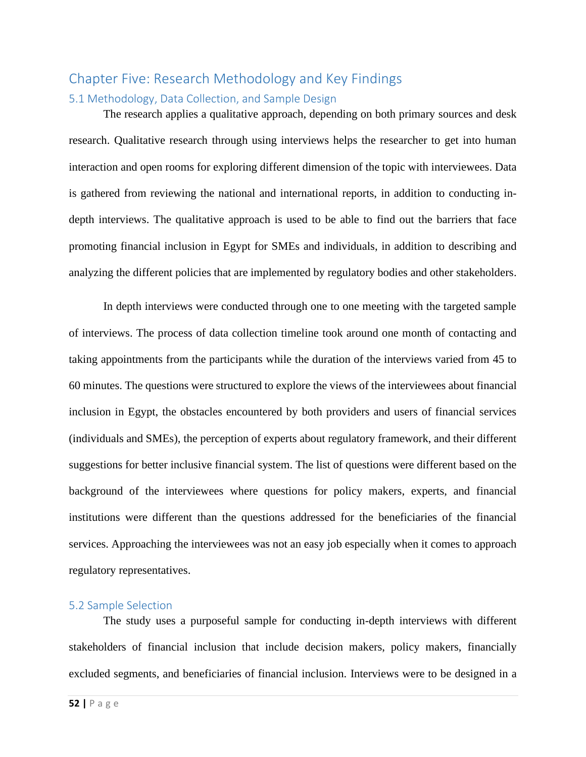# Chapter Five: Research Methodology and Key Findings 5.1 Methodology, Data Collection, and Sample Design

The research applies a qualitative approach, depending on both primary sources and desk research. Qualitative research through using interviews helps the researcher to get into human interaction and open rooms for exploring different dimension of the topic with interviewees. Data is gathered from reviewing the national and international reports, in addition to conducting indepth interviews. The qualitative approach is used to be able to find out the barriers that face promoting financial inclusion in Egypt for SMEs and individuals, in addition to describing and analyzing the different policies that are implemented by regulatory bodies and other stakeholders.

In depth interviews were conducted through one to one meeting with the targeted sample of interviews. The process of data collection timeline took around one month of contacting and taking appointments from the participants while the duration of the interviews varied from 45 to 60 minutes. The questions were structured to explore the views of the interviewees about financial inclusion in Egypt, the obstacles encountered by both providers and users of financial services (individuals and SMEs), the perception of experts about regulatory framework, and their different suggestions for better inclusive financial system. The list of questions were different based on the background of the interviewees where questions for policy makers, experts, and financial institutions were different than the questions addressed for the beneficiaries of the financial services. Approaching the interviewees was not an easy job especially when it comes to approach regulatory representatives.

#### 5.2 Sample Selection

The study uses a purposeful sample for conducting in-depth interviews with different stakeholders of financial inclusion that include decision makers, policy makers, financially excluded segments, and beneficiaries of financial inclusion. Interviews were to be designed in a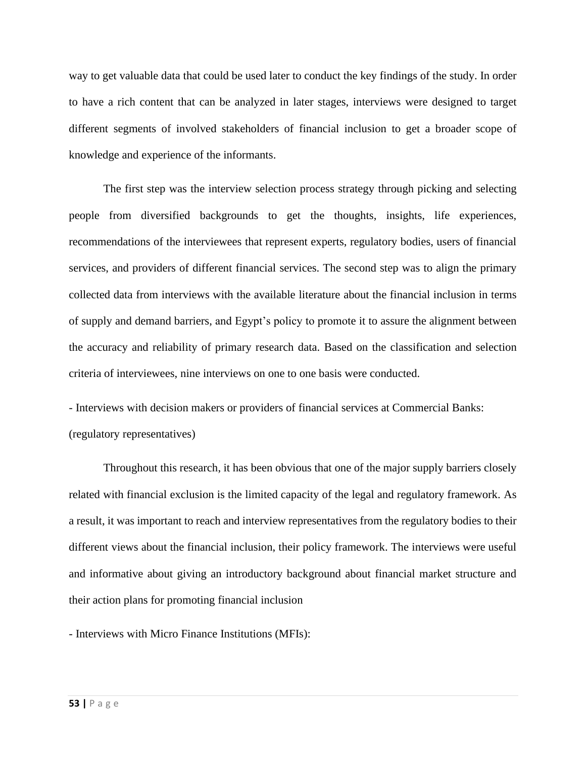way to get valuable data that could be used later to conduct the key findings of the study. In order to have a rich content that can be analyzed in later stages, interviews were designed to target different segments of involved stakeholders of financial inclusion to get a broader scope of knowledge and experience of the informants.

The first step was the interview selection process strategy through picking and selecting people from diversified backgrounds to get the thoughts, insights, life experiences, recommendations of the interviewees that represent experts, regulatory bodies, users of financial services, and providers of different financial services. The second step was to align the primary collected data from interviews with the available literature about the financial inclusion in terms of supply and demand barriers, and Egypt's policy to promote it to assure the alignment between the accuracy and reliability of primary research data. Based on the classification and selection criteria of interviewees, nine interviews on one to one basis were conducted.

- Interviews with decision makers or providers of financial services at Commercial Banks: (regulatory representatives)

Throughout this research, it has been obvious that one of the major supply barriers closely related with financial exclusion is the limited capacity of the legal and regulatory framework. As a result, it was important to reach and interview representatives from the regulatory bodies to their different views about the financial inclusion, their policy framework. The interviews were useful and informative about giving an introductory background about financial market structure and their action plans for promoting financial inclusion

- Interviews with Micro Finance Institutions (MFIs):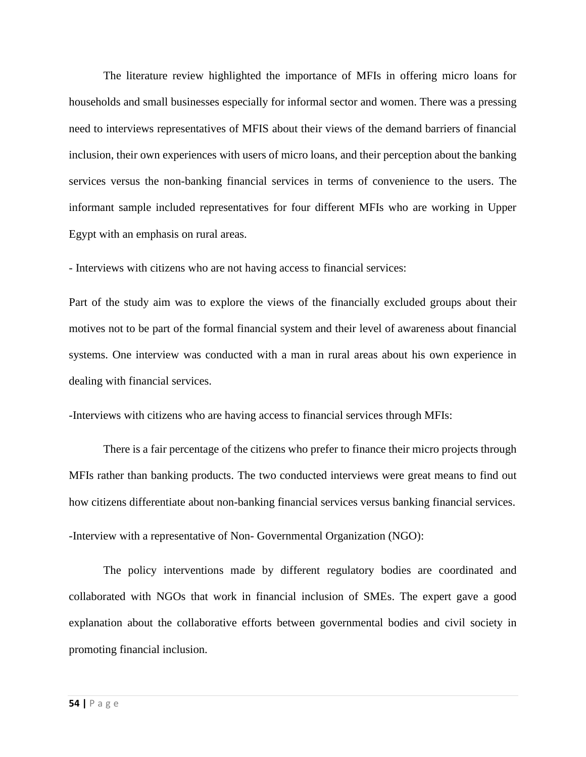The literature review highlighted the importance of MFIs in offering micro loans for households and small businesses especially for informal sector and women. There was a pressing need to interviews representatives of MFIS about their views of the demand barriers of financial inclusion, their own experiences with users of micro loans, and their perception about the banking services versus the non-banking financial services in terms of convenience to the users. The informant sample included representatives for four different MFIs who are working in Upper Egypt with an emphasis on rural areas.

- Interviews with citizens who are not having access to financial services:

Part of the study aim was to explore the views of the financially excluded groups about their motives not to be part of the formal financial system and their level of awareness about financial systems. One interview was conducted with a man in rural areas about his own experience in dealing with financial services.

-Interviews with citizens who are having access to financial services through MFIs:

There is a fair percentage of the citizens who prefer to finance their micro projects through MFIs rather than banking products. The two conducted interviews were great means to find out how citizens differentiate about non-banking financial services versus banking financial services. -Interview with a representative of Non- Governmental Organization (NGO):

The policy interventions made by different regulatory bodies are coordinated and collaborated with NGOs that work in financial inclusion of SMEs. The expert gave a good explanation about the collaborative efforts between governmental bodies and civil society in promoting financial inclusion.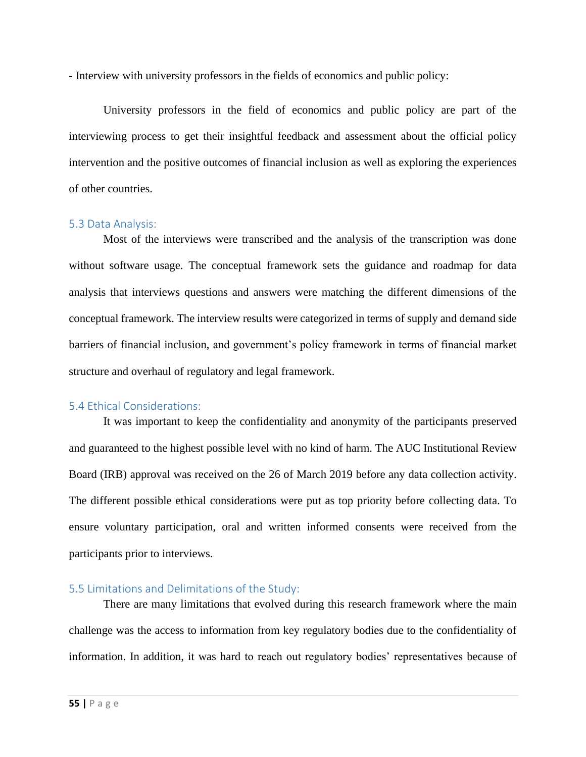- Interview with university professors in the fields of economics and public policy:

University professors in the field of economics and public policy are part of the interviewing process to get their insightful feedback and assessment about the official policy intervention and the positive outcomes of financial inclusion as well as exploring the experiences of other countries.

#### 5.3 Data Analysis:

Most of the interviews were transcribed and the analysis of the transcription was done without software usage. The conceptual framework sets the guidance and roadmap for data analysis that interviews questions and answers were matching the different dimensions of the conceptual framework. The interview results were categorized in terms of supply and demand side barriers of financial inclusion, and government's policy framework in terms of financial market structure and overhaul of regulatory and legal framework.

#### 5.4 Ethical Considerations:

It was important to keep the confidentiality and anonymity of the participants preserved and guaranteed to the highest possible level with no kind of harm. The AUC Institutional Review Board (IRB) approval was received on the 26 of March 2019 before any data collection activity. The different possible ethical considerations were put as top priority before collecting data. To ensure voluntary participation, oral and written informed consents were received from the participants prior to interviews.

### 5.5 Limitations and Delimitations of the Study:

There are many limitations that evolved during this research framework where the main challenge was the access to information from key regulatory bodies due to the confidentiality of information. In addition, it was hard to reach out regulatory bodies' representatives because of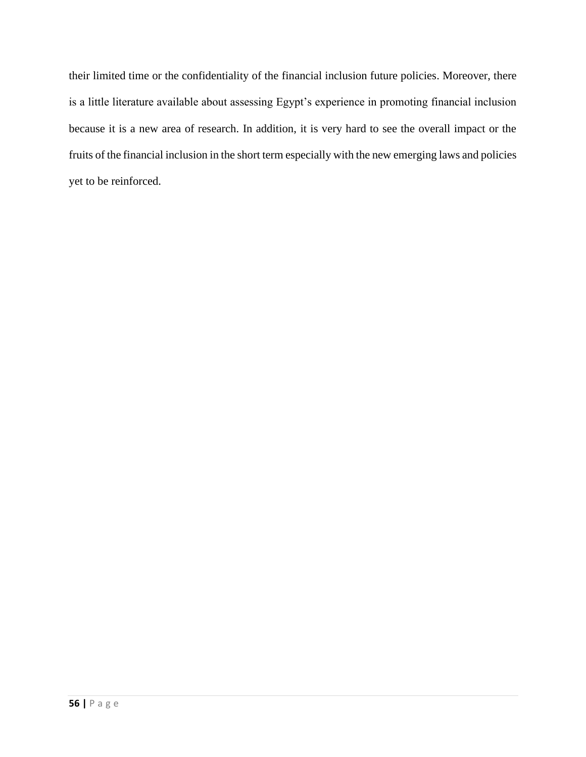their limited time or the confidentiality of the financial inclusion future policies. Moreover, there is a little literature available about assessing Egypt's experience in promoting financial inclusion because it is a new area of research. In addition, it is very hard to see the overall impact or the fruits of the financial inclusion in the short term especially with the new emerging laws and policies yet to be reinforced.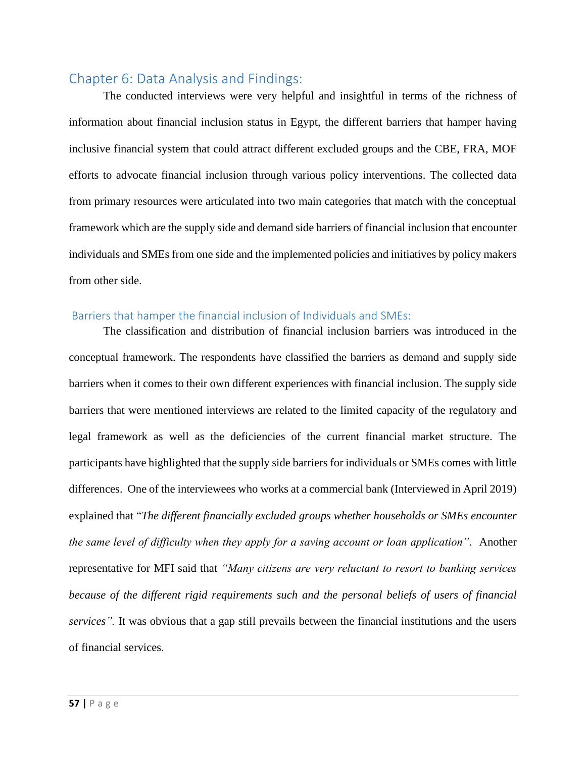# Chapter 6: Data Analysis and Findings:

The conducted interviews were very helpful and insightful in terms of the richness of information about financial inclusion status in Egypt, the different barriers that hamper having inclusive financial system that could attract different excluded groups and the CBE, FRA, MOF efforts to advocate financial inclusion through various policy interventions. The collected data from primary resources were articulated into two main categories that match with the conceptual framework which are the supply side and demand side barriers of financial inclusion that encounter individuals and SMEs from one side and the implemented policies and initiatives by policy makers from other side.

### Barriers that hamper the financial inclusion of Individuals and SMEs:

The classification and distribution of financial inclusion barriers was introduced in the conceptual framework. The respondents have classified the barriers as demand and supply side barriers when it comes to their own different experiences with financial inclusion. The supply side barriers that were mentioned interviews are related to the limited capacity of the regulatory and legal framework as well as the deficiencies of the current financial market structure. The participants have highlighted that the supply side barriers for individuals or SMEs comes with little differences. One of the interviewees who works at a commercial bank (Interviewed in April 2019) explained that "*The different financially excluded groups whether households or SMEs encounter the same level of difficulty when they apply for a saving account or loan application".* Another representative for MFI said that *"Many citizens are very reluctant to resort to banking services because of the different rigid requirements such and the personal beliefs of users of financial services".* It was obvious that a gap still prevails between the financial institutions and the users of financial services.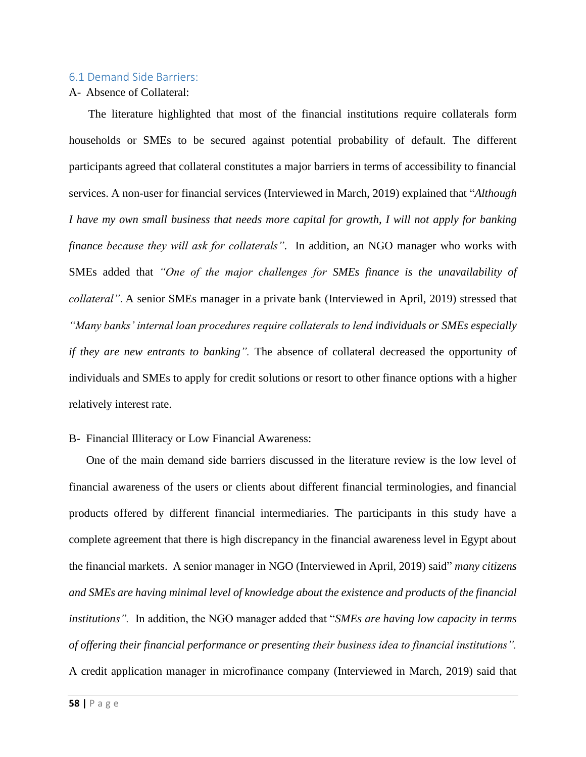#### 6.1 Demand Side Barriers:

#### A- Absence of Collateral:

The literature highlighted that most of the financial institutions require collaterals form households or SMEs to be secured against potential probability of default. The different participants agreed that collateral constitutes a major barriers in terms of accessibility to financial services. A non-user for financial services (Interviewed in March, 2019) explained that "*Although I have my own small business that needs more capital for growth, I will not apply for banking finance because they will ask for collaterals".* In addition, an NGO manager who works with SMEs added that *"One of the major challenges for SMEs finance is the unavailability of collateral"*. A senior SMEs manager in a private bank (Interviewed in April, 2019) stressed that *"Many banks' internal loan procedures require collaterals to lend individuals or SMEs especially if they are new entrants to banking".* The absence of collateral decreased the opportunity of individuals and SMEs to apply for credit solutions or resort to other finance options with a higher relatively interest rate.

#### B- Financial Illiteracy or Low Financial Awareness:

One of the main demand side barriers discussed in the literature review is the low level of financial awareness of the users or clients about different financial terminologies, and financial products offered by different financial intermediaries. The participants in this study have a complete agreement that there is high discrepancy in the financial awareness level in Egypt about the financial markets. A senior manager in NGO (Interviewed in April, 2019) said" *many citizens and SMEs are having minimal level of knowledge about the existence and products of the financial institutions".* In addition, the NGO manager added that "*SMEs are having low capacity in terms of offering their financial performance or presenting their business idea to financial institutions".* A credit application manager in microfinance company (Interviewed in March, 2019) said that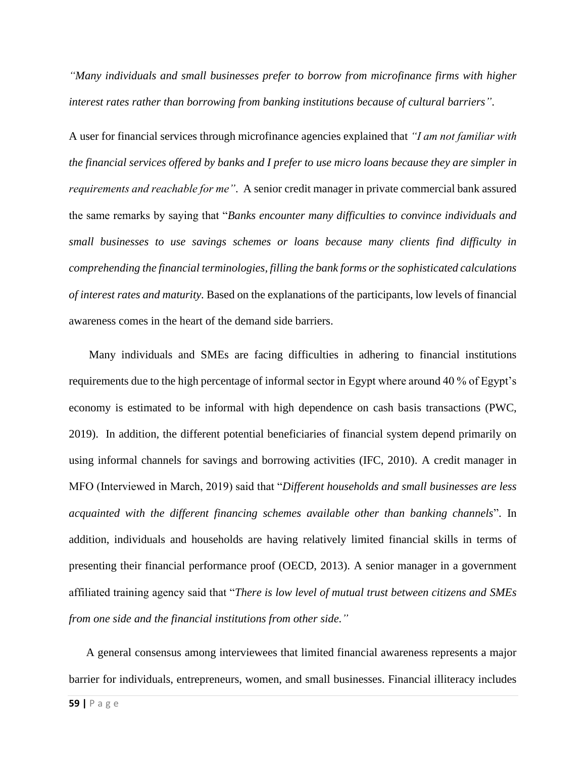*"Many individuals and small businesses prefer to borrow from microfinance firms with higher interest rates rather than borrowing from banking institutions because of cultural barriers"*.

A user for financial services through microfinance agencies explained that *"I am not familiar with the financial services offered by banks and I prefer to use micro loans because they are simpler in requirements and reachable for me"*. A senior credit manager in private commercial bank assured the same remarks by saying that "*Banks encounter many difficulties to convince individuals and small businesses to use savings schemes or loans because many clients find difficulty in comprehending the financial terminologies, filling the bank forms or the sophisticated calculations of interest rates and maturity.* Based on the explanations of the participants, low levels of financial awareness comes in the heart of the demand side barriers.

Many individuals and SMEs are facing difficulties in adhering to financial institutions requirements due to the high percentage of informal sector in Egypt where around 40 % of Egypt's economy is estimated to be informal with high dependence on cash basis transactions (PWC, 2019). In addition, the different potential beneficiaries of financial system depend primarily on using informal channels for savings and borrowing activities (IFC, 2010). A credit manager in MFO (Interviewed in March, 2019) said that "*Different households and small businesses are less acquainted with the different financing schemes available other than banking channels*". In addition, individuals and households are having relatively limited financial skills in terms of presenting their financial performance proof (OECD, 2013). A senior manager in a government affiliated training agency said that "*There is low level of mutual trust between citizens and SMEs from one side and the financial institutions from other side."*

A general consensus among interviewees that limited financial awareness represents a major barrier for individuals, entrepreneurs, women, and small businesses. Financial illiteracy includes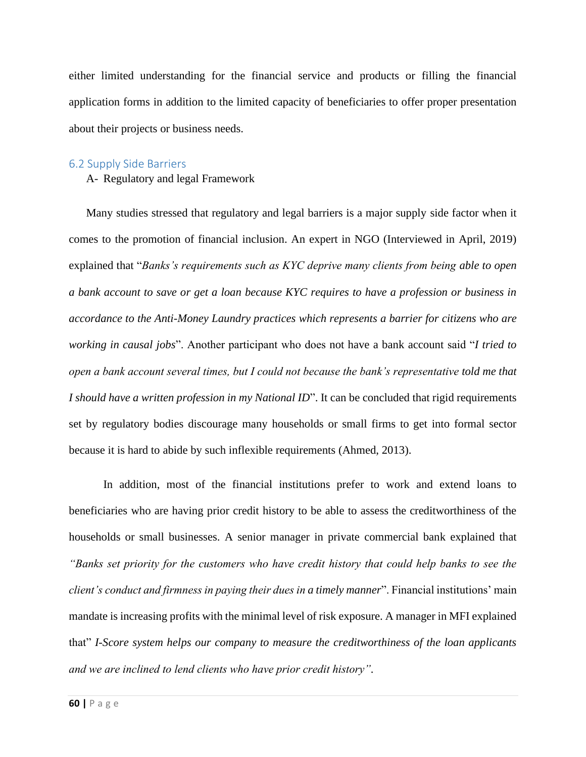either limited understanding for the financial service and products or filling the financial application forms in addition to the limited capacity of beneficiaries to offer proper presentation about their projects or business needs.

#### 6.2 Supply Side Barriers

A- Regulatory and legal Framework

Many studies stressed that regulatory and legal barriers is a major supply side factor when it comes to the promotion of financial inclusion. An expert in NGO (Interviewed in April, 2019) explained that "*Banks's requirements such as KYC deprive many clients from being able to open a bank account to save or get a loan because KYC requires to have a profession or business in accordance to the Anti-Money Laundry practices which represents a barrier for citizens who are working in causal jobs*". Another participant who does not have a bank account said "*I tried to open a bank account several times, but I could not because the bank's representative told me that I should have a written profession in my National ID*". It can be concluded that rigid requirements set by regulatory bodies discourage many households or small firms to get into formal sector because it is hard to abide by such inflexible requirements (Ahmed, 2013).

In addition, most of the financial institutions prefer to work and extend loans to beneficiaries who are having prior credit history to be able to assess the creditworthiness of the households or small businesses. A senior manager in private commercial bank explained that *"Banks set priority for the customers who have credit history that could help banks to see the client's conduct and firmness in paying their dues in a timely manner*". Financial institutions' main mandate is increasing profits with the minimal level of risk exposure. A manager in MFI explained that" *I-Score system helps our company to measure the creditworthiness of the loan applicants and we are inclined to lend clients who have prior credit history".*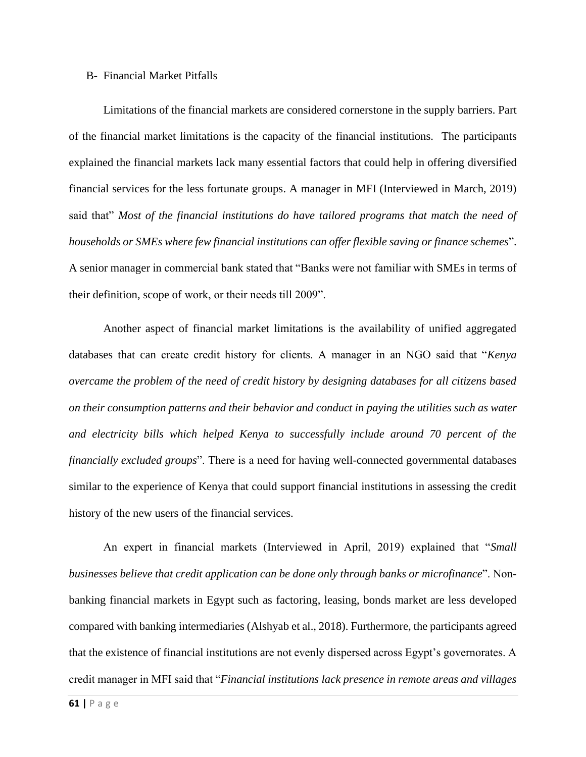#### B- Financial Market Pitfalls

Limitations of the financial markets are considered cornerstone in the supply barriers. Part of the financial market limitations is the capacity of the financial institutions. The participants explained the financial markets lack many essential factors that could help in offering diversified financial services for the less fortunate groups. A manager in MFI (Interviewed in March, 2019) said that" *Most of the financial institutions do have tailored programs that match the need of households or SMEs where few financial institutions can offer flexible saving or finance schemes*". A senior manager in commercial bank stated that "Banks were not familiar with SMEs in terms of their definition, scope of work, or their needs till 2009".

Another aspect of financial market limitations is the availability of unified aggregated databases that can create credit history for clients. A manager in an NGO said that "*Kenya overcame the problem of the need of credit history by designing databases for all citizens based on their consumption patterns and their behavior and conduct in paying the utilities such as water and electricity bills which helped Kenya to successfully include around 70 percent of the financially excluded groups*". There is a need for having well-connected governmental databases similar to the experience of Kenya that could support financial institutions in assessing the credit history of the new users of the financial services.

An expert in financial markets (Interviewed in April, 2019) explained that "*Small businesses believe that credit application can be done only through banks or microfinance*". Nonbanking financial markets in Egypt such as factoring, leasing, bonds market are less developed compared with banking intermediaries (Alshyab et al., 2018). Furthermore, the participants agreed that the existence of financial institutions are not evenly dispersed across Egypt's governorates. A credit manager in MFI said that "*Financial institutions lack presence in remote areas and villages*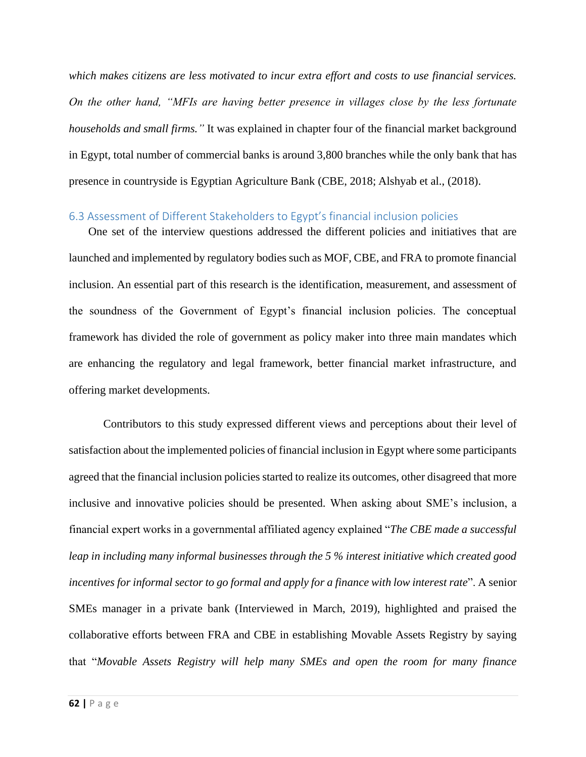*which makes citizens are less motivated to incur extra effort and costs to use financial services. On the other hand, "MFIs are having better presence in villages close by the less fortunate households and small firms."* It was explained in chapter four of the financial market background in Egypt, total number of commercial banks is around 3,800 branches while the only bank that has presence in countryside is Egyptian Agriculture Bank (CBE, 2018; Alshyab et al., (2018).

### 6.3 Assessment of Different Stakeholders to Egypt's financial inclusion policies

One set of the interview questions addressed the different policies and initiatives that are launched and implemented by regulatory bodies such as MOF, CBE, and FRA to promote financial inclusion. An essential part of this research is the identification, measurement, and assessment of the soundness of the Government of Egypt's financial inclusion policies. The conceptual framework has divided the role of government as policy maker into three main mandates which are enhancing the regulatory and legal framework, better financial market infrastructure, and offering market developments.

Contributors to this study expressed different views and perceptions about their level of satisfaction about the implemented policies of financial inclusion in Egypt where some participants agreed that the financial inclusion policies started to realize its outcomes, other disagreed that more inclusive and innovative policies should be presented. When asking about SME's inclusion, a financial expert works in a governmental affiliated agency explained "*The CBE made a successful leap in including many informal businesses through the 5 % interest initiative which created good incentives for informal sector to go formal and apply for a finance with low interest rate*". A senior SMEs manager in a private bank (Interviewed in March, 2019), highlighted and praised the collaborative efforts between FRA and CBE in establishing Movable Assets Registry by saying that "*Movable Assets Registry will help many SMEs and open the room for many finance*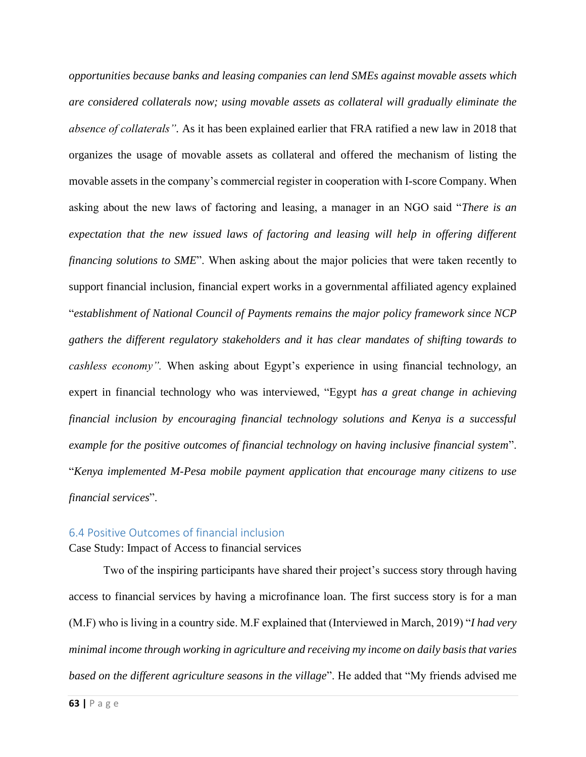*opportunities because banks and leasing companies can lend SMEs against movable assets which are considered collaterals now; using movable assets as collateral will gradually eliminate the absence of collaterals".* As it has been explained earlier that FRA ratified a new law in 2018 that organizes the usage of movable assets as collateral and offered the mechanism of listing the movable assets in the company's commercial register in cooperation with I-score Company. When asking about the new laws of factoring and leasing, a manager in an NGO said "*There is an expectation that the new issued laws of factoring and leasing will help in offering different financing solutions to SME*". When asking about the major policies that were taken recently to support financial inclusion, financial expert works in a governmental affiliated agency explained "*establishment of National Council of Payments remains the major policy framework since NCP gathers the different regulatory stakeholders and it has clear mandates of shifting towards to cashless economy".* When asking about Egypt's experience in using financial technolog*y,* an expert in financial technology who was interviewed, "Egypt *has a great change in achieving financial inclusion by encouraging financial technology solutions and Kenya is a successful example for the positive outcomes of financial technology on having inclusive financial system*". "*Kenya implemented M-Pesa mobile payment application that encourage many citizens to use financial services*".

### 6.4 Positive Outcomes of financial inclusion

Case Study: Impact of Access to financial services

Two of the inspiring participants have shared their project's success story through having access to financial services by having a microfinance loan. The first success story is for a man (M.F) who is living in a country side. M.F explained that (Interviewed in March, 2019) "*I had very minimal income through working in agriculture and receiving my income on daily basis that varies based on the different agriculture seasons in the village*". He added that "My friends advised me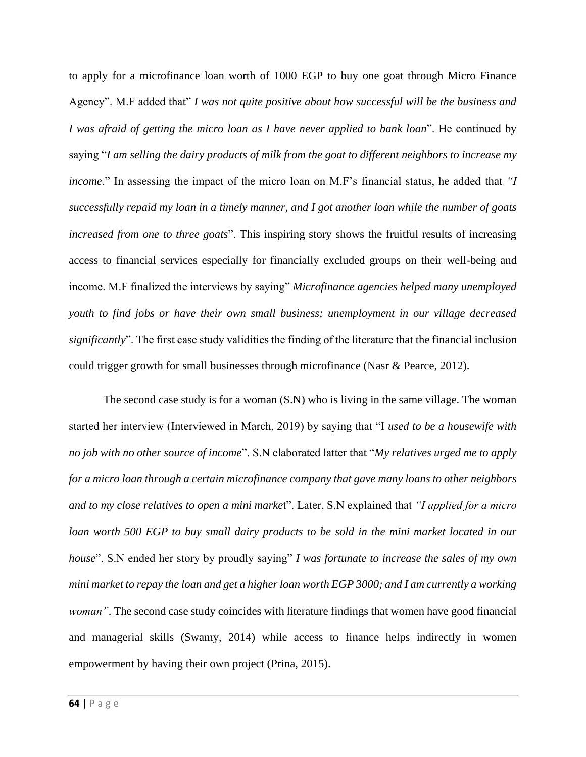to apply for a microfinance loan worth of 1000 EGP to buy one goat through Micro Finance Agency". M.F added that" *I was not quite positive about how successful will be the business and I was afraid of getting the micro loan as I have never applied to bank loan*". He continued by saying "*I am selling the dairy products of milk from the goat to different neighbors to increase my income*." In assessing the impact of the micro loan on M.F's financial status, he added that *"I successfully repaid my loan in a timely manner, and I got another loan while the number of goats increased from one to three goats*". This inspiring story shows the fruitful results of increasing access to financial services especially for financially excluded groups on their well-being and income. M.F finalized the interviews by saying" *Microfinance agencies helped many unemployed youth to find jobs or have their own small business; unemployment in our village decreased significantly*". The first case study validities the finding of the literature that the financial inclusion could trigger growth for small businesses through microfinance (Nasr & Pearce, 2012).

The second case study is for a woman (S.N) who is living in the same village. The woman started her interview (Interviewed in March, 2019) by saying that "I *used to be a housewife with no job with no other source of income*". S.N elaborated latter that "*My relatives urged me to apply for a micro loan through a certain microfinance company that gave many loans to other neighbors and to my close relatives to open a mini marke*t". Later, S.N explained that *"I applied for a micro loan worth 500 EGP to buy small dairy products to be sold in the mini market located in our house*". S.N ended her story by proudly saying" *I was fortunate to increase the sales of my own mini market to repay the loan and get a higher loan worth EGP 3000; and I am currently a working woman"*. The second case study coincides with literature findings that women have good financial and managerial skills (Swamy, 2014) while access to finance helps indirectly in women empowerment by having their own project (Prina, 2015).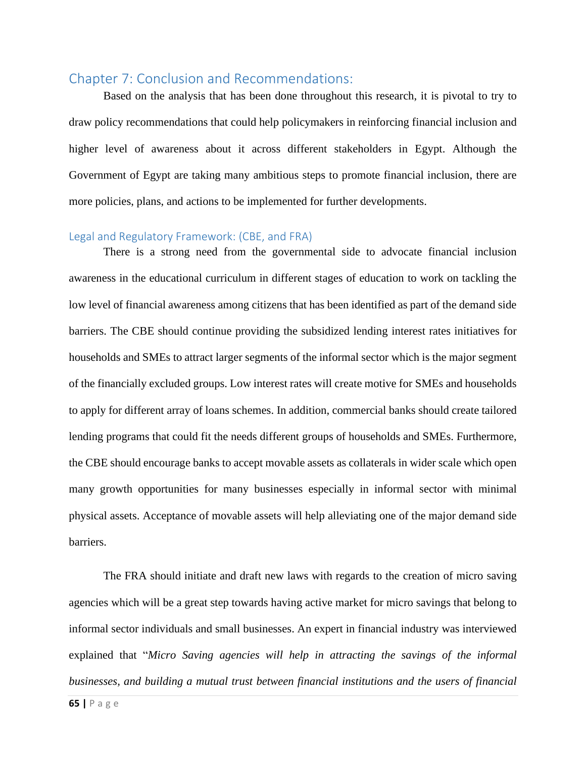# Chapter 7: Conclusion and Recommendations:

Based on the analysis that has been done throughout this research, it is pivotal to try to draw policy recommendations that could help policymakers in reinforcing financial inclusion and higher level of awareness about it across different stakeholders in Egypt. Although the Government of Egypt are taking many ambitious steps to promote financial inclusion, there are more policies, plans, and actions to be implemented for further developments.

#### Legal and Regulatory Framework: (CBE, and FRA)

There is a strong need from the governmental side to advocate financial inclusion awareness in the educational curriculum in different stages of education to work on tackling the low level of financial awareness among citizens that has been identified as part of the demand side barriers. The CBE should continue providing the subsidized lending interest rates initiatives for households and SMEs to attract larger segments of the informal sector which is the major segment of the financially excluded groups. Low interest rates will create motive for SMEs and households to apply for different array of loans schemes. In addition, commercial banks should create tailored lending programs that could fit the needs different groups of households and SMEs. Furthermore, the CBE should encourage banks to accept movable assets as collaterals in wider scale which open many growth opportunities for many businesses especially in informal sector with minimal physical assets. Acceptance of movable assets will help alleviating one of the major demand side barriers.

The FRA should initiate and draft new laws with regards to the creation of micro saving agencies which will be a great step towards having active market for micro savings that belong to informal sector individuals and small businesses. An expert in financial industry was interviewed explained that "*Micro Saving agencies will help in attracting the savings of the informal businesses, and building a mutual trust between financial institutions and the users of financial*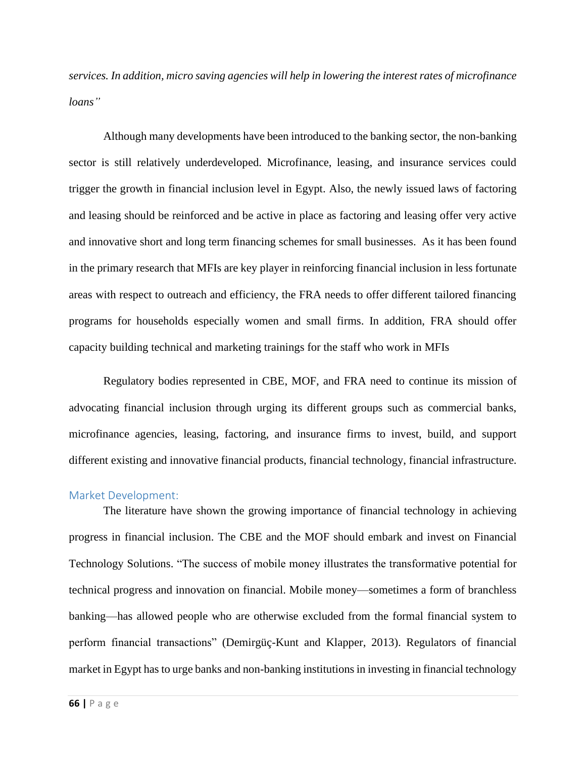*services. In addition, micro saving agencies will help in lowering the interest rates of microfinance loans"*

Although many developments have been introduced to the banking sector, the non-banking sector is still relatively underdeveloped. Microfinance, leasing, and insurance services could trigger the growth in financial inclusion level in Egypt. Also, the newly issued laws of factoring and leasing should be reinforced and be active in place as factoring and leasing offer very active and innovative short and long term financing schemes for small businesses. As it has been found in the primary research that MFIs are key player in reinforcing financial inclusion in less fortunate areas with respect to outreach and efficiency, the FRA needs to offer different tailored financing programs for households especially women and small firms. In addition, FRA should offer capacity building technical and marketing trainings for the staff who work in MFIs

Regulatory bodies represented in CBE, MOF, and FRA need to continue its mission of advocating financial inclusion through urging its different groups such as commercial banks, microfinance agencies, leasing, factoring, and insurance firms to invest, build, and support different existing and innovative financial products, financial technology, financial infrastructure.

#### Market Development:

The literature have shown the growing importance of financial technology in achieving progress in financial inclusion. The CBE and the MOF should embark and invest on Financial Technology Solutions. "The success of mobile money illustrates the transformative potential for technical progress and innovation on financial. Mobile money—sometimes a form of branchless banking—has allowed people who are otherwise excluded from the formal financial system to perform financial transactions" (Demirgüç-Kunt and Klapper, 2013). Regulators of financial market in Egypt has to urge banks and non-banking institutions in investing in financial technology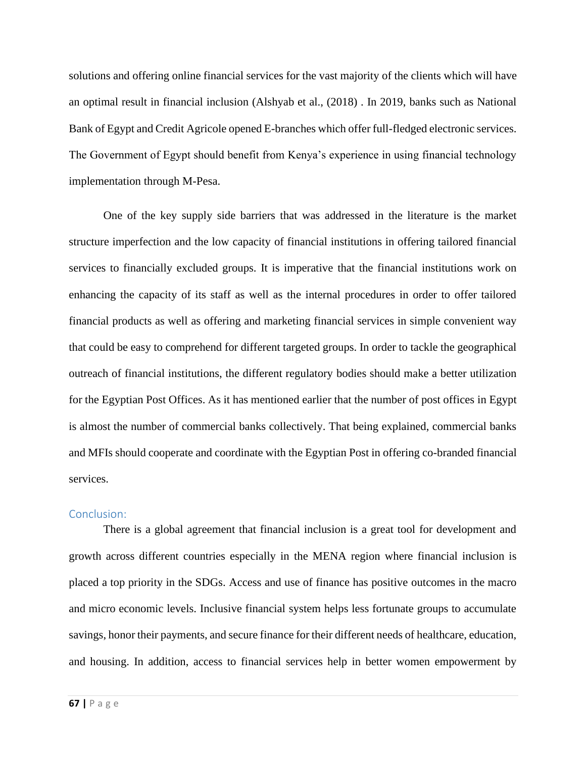solutions and offering online financial services for the vast majority of the clients which will have an optimal result in financial inclusion (Alshyab et al., (2018) . In 2019, banks such as National Bank of Egypt and Credit Agricole opened E-branches which offer full-fledged electronic services. The Government of Egypt should benefit from Kenya's experience in using financial technology implementation through M-Pesa.

One of the key supply side barriers that was addressed in the literature is the market structure imperfection and the low capacity of financial institutions in offering tailored financial services to financially excluded groups. It is imperative that the financial institutions work on enhancing the capacity of its staff as well as the internal procedures in order to offer tailored financial products as well as offering and marketing financial services in simple convenient way that could be easy to comprehend for different targeted groups. In order to tackle the geographical outreach of financial institutions, the different regulatory bodies should make a better utilization for the Egyptian Post Offices. As it has mentioned earlier that the number of post offices in Egypt is almost the number of commercial banks collectively. That being explained, commercial banks and MFIs should cooperate and coordinate with the Egyptian Post in offering co-branded financial services.

#### Conclusion:

There is a global agreement that financial inclusion is a great tool for development and growth across different countries especially in the MENA region where financial inclusion is placed a top priority in the SDGs. Access and use of finance has positive outcomes in the macro and micro economic levels. Inclusive financial system helps less fortunate groups to accumulate savings, honor their payments, and secure finance for their different needs of healthcare, education, and housing. In addition, access to financial services help in better women empowerment by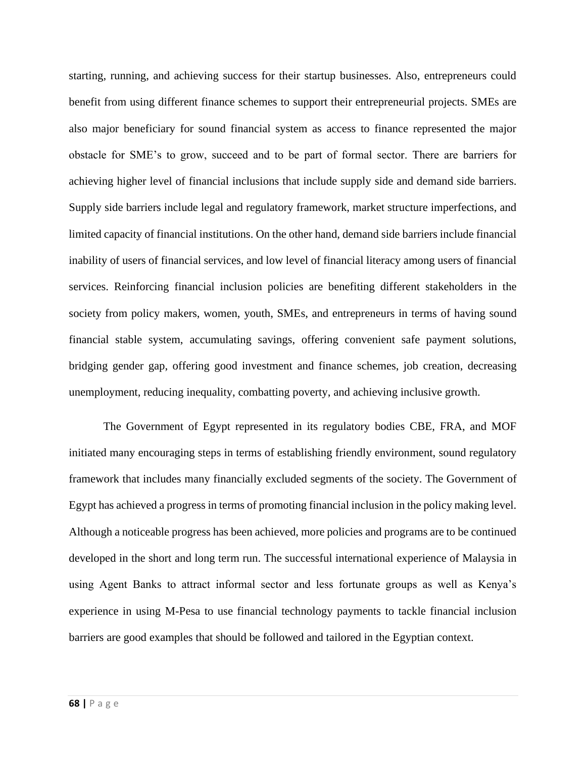starting, running, and achieving success for their startup businesses. Also, entrepreneurs could benefit from using different finance schemes to support their entrepreneurial projects. SMEs are also major beneficiary for sound financial system as access to finance represented the major obstacle for SME's to grow, succeed and to be part of formal sector. There are barriers for achieving higher level of financial inclusions that include supply side and demand side barriers. Supply side barriers include legal and regulatory framework, market structure imperfections, and limited capacity of financial institutions. On the other hand, demand side barriers include financial inability of users of financial services, and low level of financial literacy among users of financial services. Reinforcing financial inclusion policies are benefiting different stakeholders in the society from policy makers, women, youth, SMEs, and entrepreneurs in terms of having sound financial stable system, accumulating savings, offering convenient safe payment solutions, bridging gender gap, offering good investment and finance schemes, job creation, decreasing unemployment, reducing inequality, combatting poverty, and achieving inclusive growth.

The Government of Egypt represented in its regulatory bodies CBE, FRA, and MOF initiated many encouraging steps in terms of establishing friendly environment, sound regulatory framework that includes many financially excluded segments of the society. The Government of Egypt has achieved a progress in terms of promoting financial inclusion in the policy making level. Although a noticeable progress has been achieved, more policies and programs are to be continued developed in the short and long term run. The successful international experience of Malaysia in using Agent Banks to attract informal sector and less fortunate groups as well as Kenya's experience in using M-Pesa to use financial technology payments to tackle financial inclusion barriers are good examples that should be followed and tailored in the Egyptian context.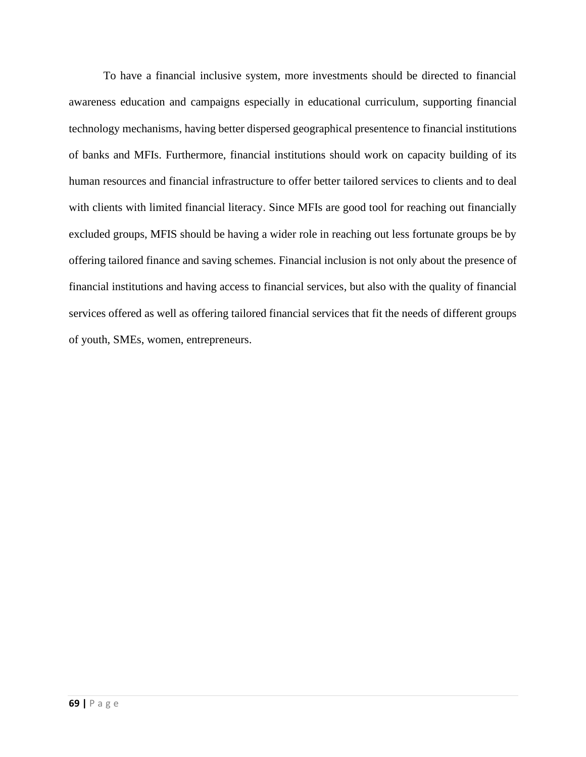To have a financial inclusive system, more investments should be directed to financial awareness education and campaigns especially in educational curriculum, supporting financial technology mechanisms, having better dispersed geographical presentence to financial institutions of banks and MFIs. Furthermore, financial institutions should work on capacity building of its human resources and financial infrastructure to offer better tailored services to clients and to deal with clients with limited financial literacy. Since MFIs are good tool for reaching out financially excluded groups, MFIS should be having a wider role in reaching out less fortunate groups be by offering tailored finance and saving schemes. Financial inclusion is not only about the presence of financial institutions and having access to financial services, but also with the quality of financial services offered as well as offering tailored financial services that fit the needs of different groups of youth, SMEs, women, entrepreneurs.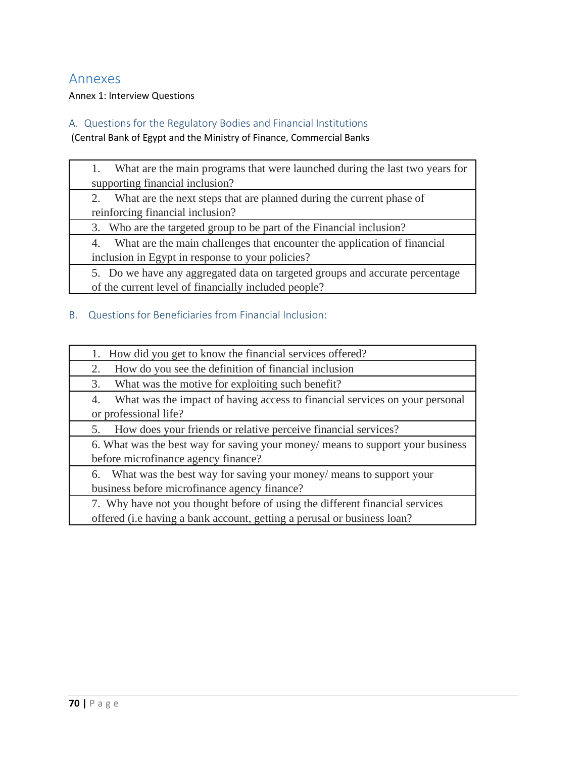# Annexes

Annex 1: Interview Questions

# A. Questions for the Regulatory Bodies and Financial Institutions

(Central Bank of Egypt and the Ministry of Finance, Commercial Banks

| What are the main programs that were launched during the last two years for<br>1. |  |
|-----------------------------------------------------------------------------------|--|
| supporting financial inclusion?                                                   |  |
| What are the next steps that are planned during the current phase of              |  |
| reinforcing financial inclusion?                                                  |  |
| 3. Who are the targeted group to be part of the Financial inclusion?              |  |
| What are the main challenges that encounter the application of financial<br>4.    |  |
| inclusion in Egypt in response to your policies?                                  |  |
| 5. Do we have any aggregated data on targeted groups and accurate percentage      |  |
| of the current level of financially included people?                              |  |
|                                                                                   |  |

## B. Questions for Beneficiaries from Financial Inclusion:

| 1. How did you get to know the financial services offered?                                                                                              |  |  |
|---------------------------------------------------------------------------------------------------------------------------------------------------------|--|--|
| How do you see the definition of financial inclusion<br>2.                                                                                              |  |  |
| What was the motive for exploiting such benefit?<br>3.                                                                                                  |  |  |
| What was the impact of having access to financial services on your personal<br>4.<br>or professional life?                                              |  |  |
| How does your friends or relative perceive financial services?<br>5.                                                                                    |  |  |
| 6. What was the best way for saving your money/ means to support your business<br>before microfinance agency finance?                                   |  |  |
| 6. What was the best way for saving your money/ means to support your<br>business before microfinance agency finance?                                   |  |  |
| 7. Why have not you thought before of using the different financial services<br>offered (i.e having a bank account, getting a perusal or business loan? |  |  |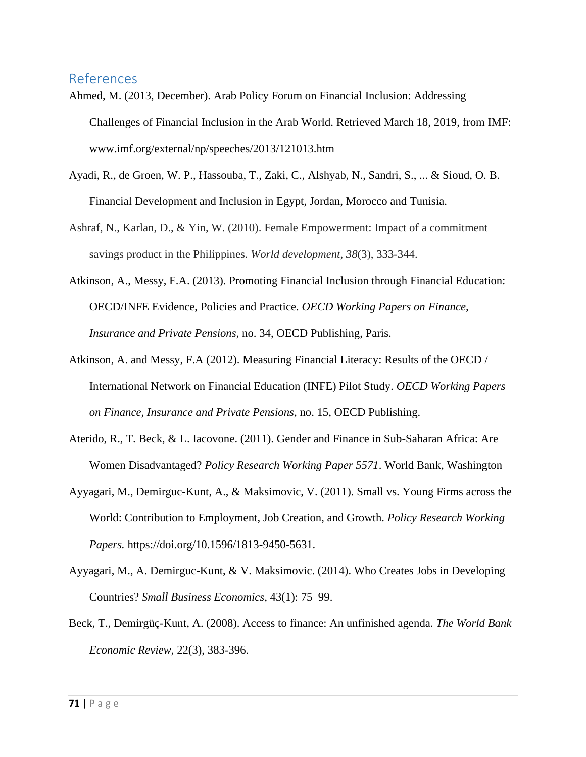# References

- Ahmed, M. (2013, December). Arab Policy Forum on Financial Inclusion: Addressing Challenges of Financial Inclusion in the Arab World. Retrieved March 18, 2019, from IMF: www.imf.org/external/np/speeches/2013/121013.htm
- Ayadi, R., de Groen, W. P., Hassouba, T., Zaki, C., Alshyab, N., Sandri, S., ... & Sioud, O. B. Financial Development and Inclusion in Egypt, Jordan, Morocco and Tunisia.
- Ashraf, N., Karlan, D., & Yin, W. (2010). Female Empowerment: Impact of a commitment savings product in the Philippines. *World development*, *38*(3), 333-344.
- Atkinson, A., Messy, F.A. (2013). Promoting Financial Inclusion through Financial Education: OECD/INFE Evidence, Policies and Practice. *OECD Working Papers on Finance, Insurance and Private Pensions*, no. 34, OECD Publishing, Paris.
- Atkinson, A. and Messy, F.A (2012). Measuring Financial Literacy: Results of the OECD / International Network on Financial Education (INFE) Pilot Study. *OECD Working Papers on Finance, Insurance and Private Pensions*, no. 15, OECD Publishing.
- Aterido, R., T. Beck, & L. Iacovone. (2011). Gender and Finance in Sub-Saharan Africa: Are Women Disadvantaged? *Policy Research Working Paper 5571*. World Bank, Washington
- Ayyagari, M., Demirguc-Kunt, A., & Maksimovic, V. (2011). Small vs. Young Firms across the World: Contribution to Employment, Job Creation, and Growth. *Policy Research Working Papers.* https://doi.org/10.1596/1813-9450-5631.
- Ayyagari, M., A. Demirguc-Kunt, & V. Maksimovic. (2014). Who Creates Jobs in Developing Countries? *Small Business Economics,* 43(1): 75–99.
- Beck, T., Demirgüç-Kunt, A. (2008). Access to finance: An unfinished agenda. *The World Bank Economic Review*, 22(3), 383-396.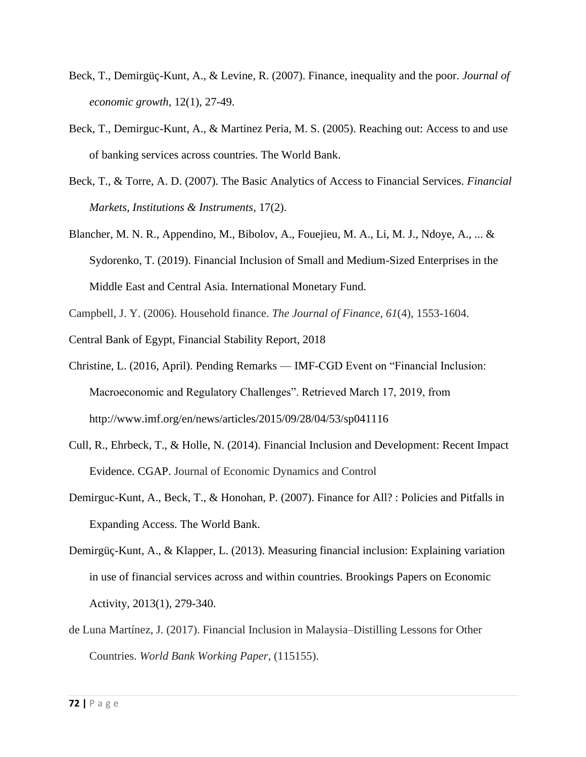- Beck, T., Demirgüç-Kunt, A., & Levine, R. (2007). Finance, inequality and the poor. *Journal of economic growth,* 12(1), 27-49.
- Beck, T., Demirguc-Kunt, A., & Martinez Peria, M. S. (2005). Reaching out: Access to and use of banking services across countries. The World Bank.
- Beck, T., & Torre, A. D. (2007). The Basic Analytics of Access to Financial Services. *Financial Markets, Institutions & Instruments*, 17(2).
- Blancher, M. N. R., Appendino, M., Bibolov, A., Fouejieu, M. A., Li, M. J., Ndoye, A., ... & Sydorenko, T. (2019). Financial Inclusion of Small and Medium-Sized Enterprises in the Middle East and Central Asia. International Monetary Fund.
- Campbell, J. Y. (2006). Household finance. *The Journal of Finance*, *61*(4), 1553-1604.
- Central Bank of Egypt, Financial Stability Report, 2018
- Christine, L. (2016, April). Pending Remarks IMF-CGD Event on "Financial Inclusion: Macroeconomic and Regulatory Challenges". Retrieved March 17, 2019, from http://www.imf.org/en/news/articles/2015/09/28/04/53/sp041116
- Cull, R., Ehrbeck, T., & Holle, N. (2014). Financial Inclusion and Development: Recent Impact Evidence. CGAP. Journal of Economic Dynamics and Control
- Demirguc-Kunt, A., Beck, T., & Honohan, P. (2007). Finance for All? : Policies and Pitfalls in Expanding Access. The World Bank.
- Demirgüç-Kunt, A., & Klapper, L. (2013). Measuring financial inclusion: Explaining variation in use of financial services across and within countries. Brookings Papers on Economic Activity, 2013(1), 279-340.
- de Luna Martínez, J. (2017). Financial Inclusion in Malaysia–Distilling Lessons for Other Countries. *World Bank Working Paper*, (115155).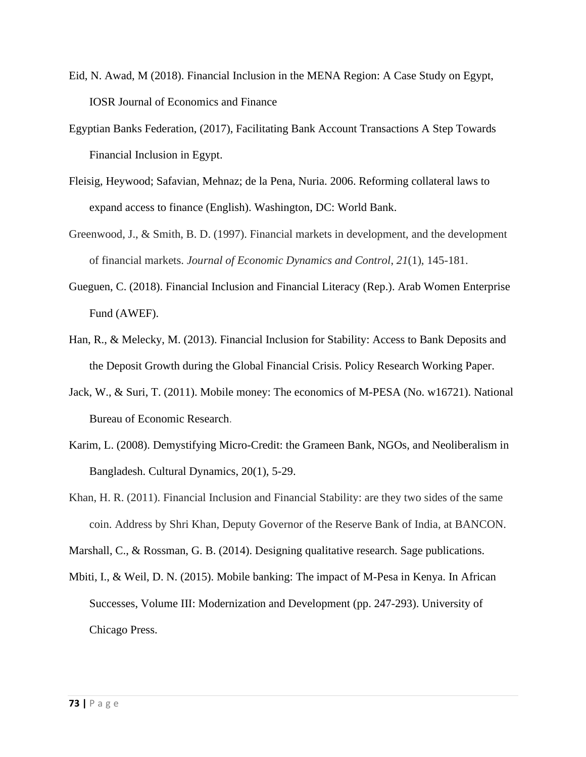- Eid, N. Awad, M (2018). Financial Inclusion in the MENA Region: A Case Study on Egypt, IOSR Journal of Economics and Finance
- Egyptian Banks Federation, (2017), Facilitating Bank Account Transactions A Step Towards Financial Inclusion in Egypt.
- Fleisig, Heywood; Safavian, Mehnaz; de la Pena, Nuria. 2006. Reforming collateral laws to expand access to finance (English). Washington, DC: World Bank.
- Greenwood, J., & Smith, B. D. (1997). Financial markets in development, and the development of financial markets. *Journal of Economic Dynamics and Control*, *21*(1), 145-181.
- Gueguen, C. (2018). Financial Inclusion and Financial Literacy (Rep.). Arab Women Enterprise Fund (AWEF).
- Han, R., & Melecky, M. (2013). Financial Inclusion for Stability: Access to Bank Deposits and the Deposit Growth during the Global Financial Crisis. Policy Research Working Paper.
- Jack, W., & Suri, T. (2011). Mobile money: The economics of M-PESA (No. w16721). National Bureau of Economic Research.
- Karim, L. (2008). Demystifying Micro-Credit: the Grameen Bank, NGOs, and Neoliberalism in Bangladesh. Cultural Dynamics, 20(1), 5-29.
- Khan, H. R. (2011). Financial Inclusion and Financial Stability: are they two sides of the same coin. Address by Shri Khan, Deputy Governor of the Reserve Bank of India, at BANCON.

Marshall, C., & Rossman, G. B. (2014). Designing qualitative research. Sage publications.

Mbiti, I., & Weil, D. N. (2015). Mobile banking: The impact of M-Pesa in Kenya. In African Successes, Volume III: Modernization and Development (pp. 247-293). University of Chicago Press.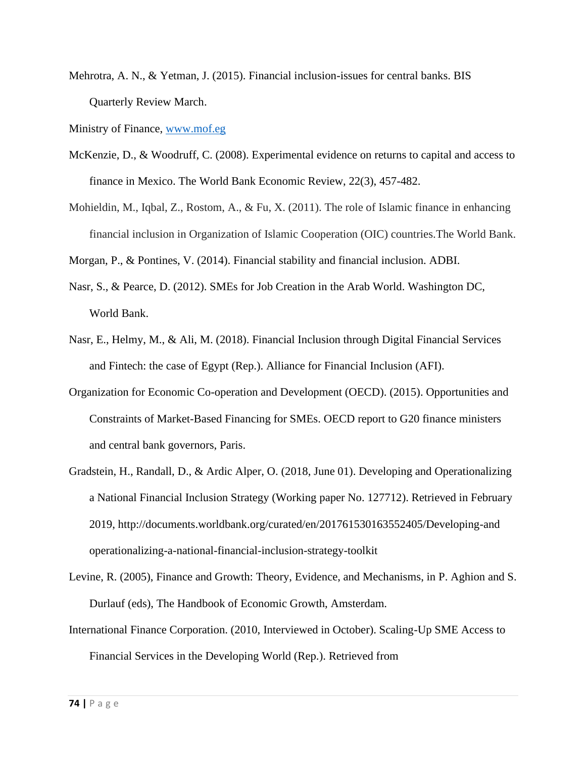Mehrotra, A. N., & Yetman, J. (2015). Financial inclusion-issues for central banks. BIS Quarterly Review March.

Ministry of Finance, [www.mof.eg](http://www.mof.eg/)

- McKenzie, D., & Woodruff, C. (2008). Experimental evidence on returns to capital and access to finance in Mexico. The World Bank Economic Review, 22(3), 457-482.
- Mohieldin, M., Iqbal, Z., Rostom, A., & Fu, X. (2011). The role of Islamic finance in enhancing financial inclusion in Organization of Islamic Cooperation (OIC) countries.The World Bank.

Morgan, P., & Pontines, V. (2014). Financial stability and financial inclusion. ADBI.

- Nasr, S., & Pearce, D. (2012). SMEs for Job Creation in the Arab World. Washington DC, World Bank.
- Nasr, E., Helmy, M., & Ali, M. (2018). Financial Inclusion through Digital Financial Services and Fintech: the case of Egypt (Rep.). Alliance for Financial Inclusion (AFI).
- Organization for Economic Co-operation and Development (OECD). (2015). Opportunities and Constraints of Market-Based Financing for SMEs. OECD report to G20 finance ministers and central bank governors, Paris.
- Gradstein, H., Randall, D., & Ardic Alper, O. (2018, June 01). Developing and Operationalizing a National Financial Inclusion Strategy (Working paper No. 127712). Retrieved in February 2019, http://documents.worldbank.org/curated/en/201761530163552405/Developing-and operationalizing-a-national-financial-inclusion-strategy-toolkit
- Levine, R. (2005), Finance and Growth: Theory, Evidence, and Mechanisms, in P. Aghion and S. Durlauf (eds), The Handbook of Economic Growth, Amsterdam.
- International Finance Corporation. (2010, Interviewed in October). Scaling-Up SME Access to Financial Services in the Developing World (Rep.). Retrieved from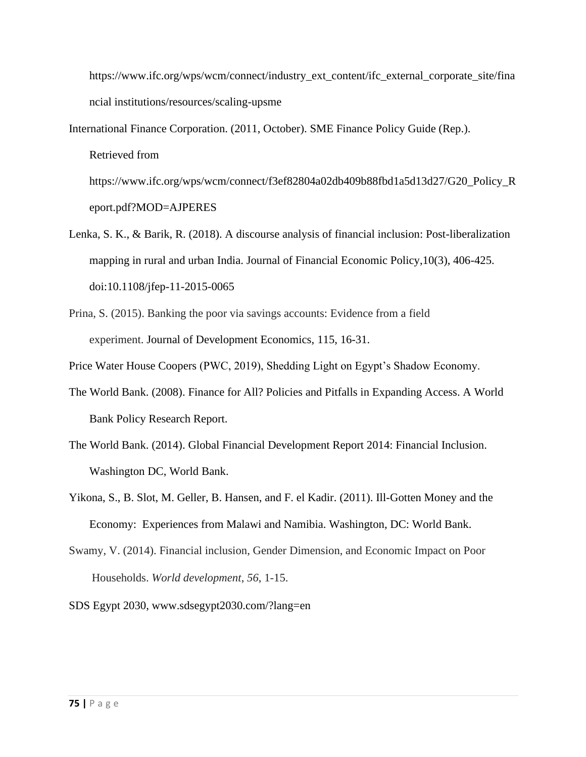https://www.ifc.org/wps/wcm/connect/industry\_ext\_content/ifc\_external\_corporate\_site/fina ncial institutions/resources/scaling-upsme

- International Finance Corporation. (2011, October). SME Finance Policy Guide (Rep.). Retrieved from https://www.ifc.org/wps/wcm/connect/f3ef82804a02db409b88fbd1a5d13d27/G20\_Policy\_R eport.pdf?MOD=AJPERES
- Lenka, S. K., & Barik, R. (2018). A discourse analysis of financial inclusion: Post-liberalization mapping in rural and urban India. Journal of Financial Economic Policy,10(3), 406-425. doi:10.1108/jfep-11-2015-0065
- Prina, S. (2015). Banking the poor via savings accounts: Evidence from a field experiment. Journal of Development Economics, 115, 16-31.

Price Water House Coopers (PWC, 2019), Shedding Light on Egypt's Shadow Economy.

- The World Bank. (2008). Finance for All? Policies and Pitfalls in Expanding Access. A World Bank Policy Research Report.
- The World Bank. (2014). Global Financial Development Report 2014: Financial Inclusion. Washington DC, World Bank.
- Yikona, S., B. Slot, M. Geller, B. Hansen, and F. el Kadir. (2011). Ill-Gotten Money and the Economy: Experiences from Malawi and Namibia. Washington, DC: World Bank.
- Swamy, V. (2014). Financial inclusion, Gender Dimension, and Economic Impact on Poor Households. *World development*, *56*, 1-15.

SDS Egypt 2030, www.sdsegypt2030.com/?lang=en